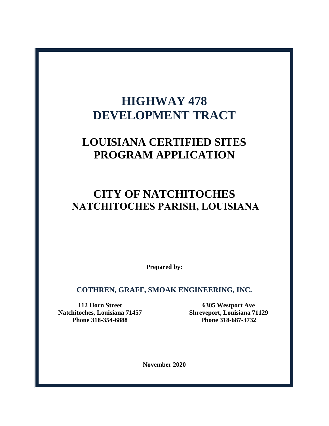# **HIGHWAY 478 DEVELOPMENT TRACT**

## **LOUISIANA CERTIFIED SITES PROGRAM APPLICATION**

## **CITY OF NATCHITOCHES NATCHITOCHES PARISH, LOUISIANA**

**Prepared by:**

**COTHREN, GRAFF, SMOAK ENGINEERING, INC.**

**112 Horn Street Natchitoches, Louisiana 71457 Phone 318-354-6888**

**6305 Westport Ave Shreveport, Louisiana 71129 Phone 318-687-3732**

**November 2020**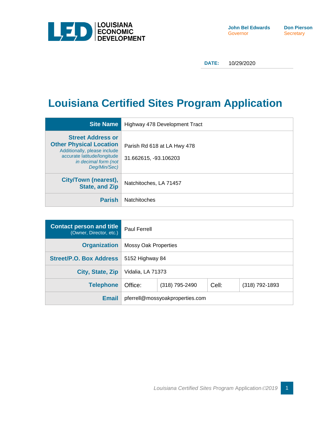

**DATE:** 10/29/2020

## **Louisiana Certified Sites Program Application**

| <b>Site Name</b>                                                                                                                                                  | Highway 478 Development Tract                        |
|-------------------------------------------------------------------------------------------------------------------------------------------------------------------|------------------------------------------------------|
| <b>Street Address or</b><br><b>Other Physical Location</b><br>Additionally, please include<br>accurate latitude/longitude<br>in decimal form (not<br>Deg/Min/Sec) | Parish Rd 618 at LA Hwy 478<br>31.662615, -93.106203 |
| City/Town (nearest),<br><b>State, and Zip</b>                                                                                                                     | Natchitoches, LA 71457                               |
| <b>Parish</b>                                                                                                                                                     | <b>Natchitoches</b>                                  |

| <b>Contact person and title</b><br>(Owner, Director, etc.) | <b>Paul Ferrell</b>                                  |  |  |  |  |  |
|------------------------------------------------------------|------------------------------------------------------|--|--|--|--|--|
| <b>Organization</b>                                        | Mossy Oak Properties                                 |  |  |  |  |  |
| <b>Street/P.O. Box Address</b>                             | 5152 Highway 84                                      |  |  |  |  |  |
| City, State, Zip                                           | Vidalia, LA 71373                                    |  |  |  |  |  |
| <b>Telephone</b>                                           | Office:<br>Cell:<br>(318) 792-1893<br>(318) 795-2490 |  |  |  |  |  |
| <b>Email</b>                                               | pferrell@mossyoakproperties.com                      |  |  |  |  |  |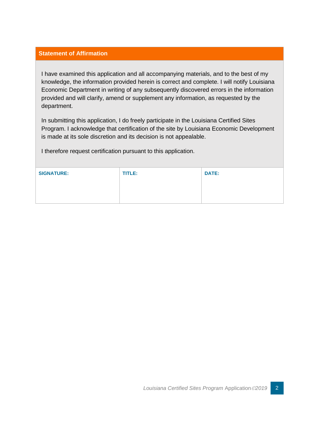#### **Statement of Affirmation**

I have examined this application and all accompanying materials, and to the best of my knowledge, the information provided herein is correct and complete. I will notify Louisiana Economic Department in writing of any subsequently discovered errors in the information provided and will clarify, amend or supplement any information, as requested by the department.

In submitting this application, I do freely participate in the Louisiana Certified Sites Program. I acknowledge that certification of the site by Louisiana Economic Development is made at its sole discretion and its decision is not appealable.

I therefore request certification pursuant to this application.

| <b>SIGNATURE:</b> | <b>TITLE:</b> | <b>DATE:</b> |
|-------------------|---------------|--------------|
|                   |               |              |
|                   |               |              |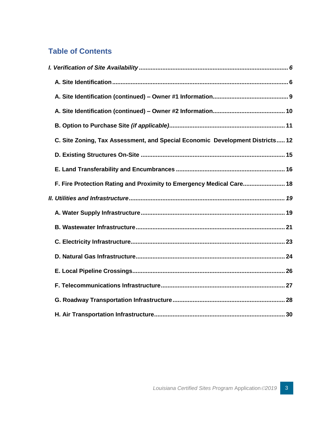#### **Table of Contents**

| C. Site Zoning, Tax Assessment, and Special Economic Development Districts 12 |  |
|-------------------------------------------------------------------------------|--|
|                                                                               |  |
|                                                                               |  |
| F. Fire Protection Rating and Proximity to Emergency Medical Care 18          |  |
|                                                                               |  |
|                                                                               |  |
|                                                                               |  |
|                                                                               |  |
|                                                                               |  |
|                                                                               |  |
|                                                                               |  |
|                                                                               |  |
|                                                                               |  |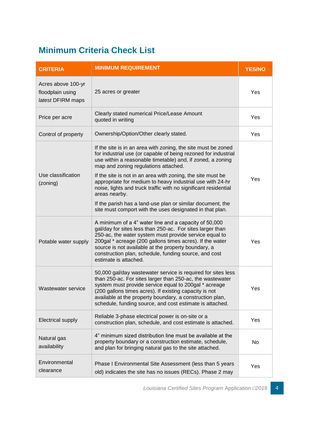## **Minimum Criteria Check List**

| <b>CRITERIA</b>                                             | <b>MINIMUM REQUIREMENT</b>                                                                                                                                                                                                                                                                                                                                                                                                                                                                                                                                                      | <b>YES/NO</b> |
|-------------------------------------------------------------|---------------------------------------------------------------------------------------------------------------------------------------------------------------------------------------------------------------------------------------------------------------------------------------------------------------------------------------------------------------------------------------------------------------------------------------------------------------------------------------------------------------------------------------------------------------------------------|---------------|
| Acres above 100-yr<br>floodplain using<br>latest DFIRM maps | 25 acres or greater                                                                                                                                                                                                                                                                                                                                                                                                                                                                                                                                                             | Yes           |
| Price per acre                                              | Clearly stated numerical Price/Lease Amount<br>quoted in writing                                                                                                                                                                                                                                                                                                                                                                                                                                                                                                                | Yes           |
| Control of property                                         | Ownership/Option/Other clearly stated.                                                                                                                                                                                                                                                                                                                                                                                                                                                                                                                                          | Yes           |
| Use classification<br>(zoning)                              | If the site is in an area with zoning, the site must be zoned<br>for industrial use (or capable of being rezoned for industrial<br>use within a reasonable timetable) and, if zoned, a zoning<br>map and zoning regulations attached.<br>If the site is not in an area with zoning, the site must be<br>appropriate for medium to heavy industrial use with 24-hr<br>noise, lights and truck traffic with no significant residential<br>areas nearby.<br>If the parish has a land-use plan or similar document, the<br>site must comport with the uses designated in that plan. | Yes           |
| Potable water supply                                        | A minimum of a 4" water line and a capacity of 50,000<br>gal/day for sites less than 250-ac. For sites larger than<br>250-ac, the water system must provide service equal to<br>200gal * acreage (200 gallons times acres). If the water<br>source is not available at the property boundary, a<br>construction plan, schedule, funding source, and cost<br>estimate is attached.                                                                                                                                                                                               | Yes           |
| Wastewater service                                          | 50,000 gal/day wastewater service is required for sites less<br>than 250-ac. For sites larger than 250-ac, the wastewater<br>system must provide service equal to 200gal * acreage<br>(200 gallons times acres). If existing capacity is not<br>available at the property boundary, a construction plan,<br>schedule, funding source, and cost estimate is attached.                                                                                                                                                                                                            | Yes           |
| <b>Electrical supply</b>                                    | Reliable 3-phase electrical power is on-site or a<br>construction plan, schedule, and cost estimate is attached.                                                                                                                                                                                                                                                                                                                                                                                                                                                                | Yes           |
| Natural gas<br>availability                                 | 4" minimum sized distribution line must be available at the<br>property boundary or a construction estimate, schedule,<br>and plan for bringing natural gas to the site attached.                                                                                                                                                                                                                                                                                                                                                                                               | No.           |
| Environmental<br>clearance                                  | Phase I Environmental Site Assessment (less than 5 years<br>old) indicates the site has no issues (RECs). Phase 2 may                                                                                                                                                                                                                                                                                                                                                                                                                                                           | <b>Yes</b>    |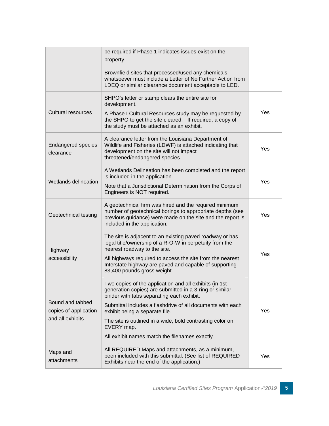|                                           | be required if Phase 1 indicates issues exist on the<br>property.                                                                                                                                                 |     |
|-------------------------------------------|-------------------------------------------------------------------------------------------------------------------------------------------------------------------------------------------------------------------|-----|
|                                           | Brownfield sites that processed/used any chemicals<br>whatsoever must include a Letter of No Further Action from<br>LDEQ or similar clearance document acceptable to LED.                                         |     |
|                                           | SHPO's letter or stamp clears the entire site for<br>development.                                                                                                                                                 |     |
| <b>Cultural resources</b>                 | A Phase I Cultural Resources study may be requested by<br>the SHPO to get the site cleared. If required, a copy of<br>the study must be attached as an exhibit.                                                   | Yes |
| <b>Endangered species</b><br>clearance    | A clearance letter from the Louisiana Department of<br>Wildlife and Fisheries (LDWF) is attached indicating that<br>development on the site will not impact<br>threatened/endangered species.                     | Yes |
|                                           | A Wetlands Delineation has been completed and the report<br>is included in the application.                                                                                                                       |     |
| Wetlands delineation                      | Note that a Jurisdictional Determination from the Corps of<br>Engineers is NOT required.                                                                                                                          | Yes |
| Geotechnical testing                      | A geotechnical firm was hired and the required minimum<br>number of geotechnical borings to appropriate depths (see<br>previous guidance) were made on the site and the report is<br>included in the application. | Yes |
| Highway                                   | The site is adjacent to an existing paved roadway or has<br>legal title/ownership of a R-O-W in perpetuity from the<br>nearest roadway to the site.                                                               |     |
| accessibility                             | All highways required to access the site from the nearest<br>Interstate highway are paved and capable of supporting<br>83,400 pounds gross weight.                                                                | Yes |
|                                           | Two copies of the application and all exhibits (in 1st<br>generation copies) are submitted in a 3-ring or similar<br>binder with tabs separating each exhibit.                                                    |     |
| Bound and tabbed<br>copies of application | Submittal includes a flashdrive of all documents with each<br>exhibit being a separate file.                                                                                                                      | Yes |
| and all exhibits                          | The site is outlined in a wide, bold contrasting color on<br>EVERY map.                                                                                                                                           |     |
|                                           | All exhibit names match the filenames exactly.                                                                                                                                                                    |     |
| Maps and<br>attachments                   | All REQUIRED Maps and attachments, as a minimum,<br>been included with this submittal. (See list of REQUIRED<br>Exhibits near the end of the application.)                                                        | Yes |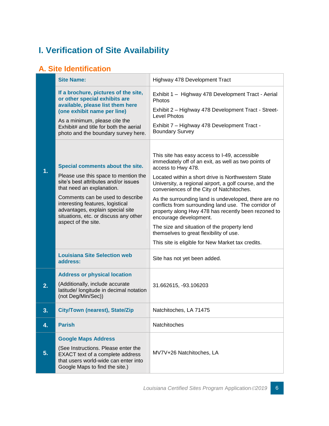## <span id="page-6-0"></span>**I. Verification of Site Availability**

#### <span id="page-6-1"></span>**A. Site Identification**

|                  | <b>Site Name:</b>                                                                                                                                                                                                                                                                                                         | Highway 478 Development Tract                                                                                                                                                                                                                                                                                                                                                                                                                                                                                                            |  |  |
|------------------|---------------------------------------------------------------------------------------------------------------------------------------------------------------------------------------------------------------------------------------------------------------------------------------------------------------------------|------------------------------------------------------------------------------------------------------------------------------------------------------------------------------------------------------------------------------------------------------------------------------------------------------------------------------------------------------------------------------------------------------------------------------------------------------------------------------------------------------------------------------------------|--|--|
|                  | If a brochure, pictures of the site,<br>or other special exhibits are<br>available, please list them here<br>(one exhibit name per line)<br>As a minimum, please cite the<br>Exhibit# and title for both the aerial<br>photo and the boundary survey here.                                                                | Exhibit 1 - Highway 478 Development Tract - Aerial<br>Photos<br>Exhibit 2 - Highway 478 Development Tract - Street-<br><b>Level Photos</b><br>Exhibit 7 - Highway 478 Development Tract -<br><b>Boundary Survey</b>                                                                                                                                                                                                                                                                                                                      |  |  |
| 1.               | Special comments about the site.<br>Please use this space to mention the<br>site's best attributes and/or issues<br>that need an explanation.<br>Comments can be used to describe<br>interesting features, logistical<br>advantages, explain special site<br>situations, etc. or discuss any other<br>aspect of the site. | This site has easy access to I-49, accessible<br>immediately off of an exit, as well as two points of<br>access to Hwy 478.<br>Located within a short drive is Northwestern State<br>University, a regional airport, a golf course, and the<br>conveniences of the City of Natchitoches.<br>As the surrounding land is undeveloped, there are no<br>conflicts from surrounding land use. The corridor of<br>property along Hwy 478 has recently been rezoned to<br>encourage development.<br>The size and situation of the property lend |  |  |
|                  | <b>Louisiana Site Selection web</b>                                                                                                                                                                                                                                                                                       | themselves to great flexibility of use.<br>This site is eligible for New Market tax credits.                                                                                                                                                                                                                                                                                                                                                                                                                                             |  |  |
|                  | address:                                                                                                                                                                                                                                                                                                                  | Site has not yet been added.                                                                                                                                                                                                                                                                                                                                                                                                                                                                                                             |  |  |
| $\overline{2}$ . | <b>Address or physical location</b><br>(Additionally, include accurate<br>latitude/ longitude in decimal notation<br>(not Deg/Min/Sec))                                                                                                                                                                                   | 31.662615, -93.106203                                                                                                                                                                                                                                                                                                                                                                                                                                                                                                                    |  |  |
| 3.               | City/Town (nearest), State/Zip                                                                                                                                                                                                                                                                                            | Natchitoches, LA 71475                                                                                                                                                                                                                                                                                                                                                                                                                                                                                                                   |  |  |
| 4.               | <b>Parish</b>                                                                                                                                                                                                                                                                                                             | Natchitoches                                                                                                                                                                                                                                                                                                                                                                                                                                                                                                                             |  |  |
| 5.               | <b>Google Maps Address</b><br>(See Instructions. Please enter the<br>EXACT text of a complete address<br>that users world-wide can enter into<br>Google Maps to find the site.)                                                                                                                                           | MV7V+26 Natchitoches, LA                                                                                                                                                                                                                                                                                                                                                                                                                                                                                                                 |  |  |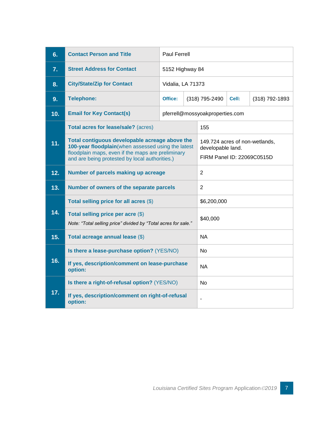| 6.  | <b>Contact Person and Title</b>                                                                                                                                                                             | <b>Paul Ferrell</b> |                 |                                                                                   |          |                  |  |
|-----|-------------------------------------------------------------------------------------------------------------------------------------------------------------------------------------------------------------|---------------------|-----------------|-----------------------------------------------------------------------------------|----------|------------------|--|
| 7.  | <b>Street Address for Contact</b>                                                                                                                                                                           |                     | 5152 Highway 84 |                                                                                   |          |                  |  |
| 8.  | <b>City/State/Zip for Contact</b>                                                                                                                                                                           | Vidalia, LA 71373   |                 |                                                                                   |          |                  |  |
| 9.  | <b>Telephone:</b>                                                                                                                                                                                           | Office:             |                 | (318) 795-2490                                                                    | Cell:    | $(318)$ 792-1893 |  |
| 10. | <b>Email for Key Contact(s)</b>                                                                                                                                                                             |                     |                 | pferrell@mossyoakproperties.com                                                   |          |                  |  |
|     | Total acres for lease/sale? (acres)                                                                                                                                                                         |                     |                 | 155                                                                               |          |                  |  |
| 11. | Total contiguous developable acreage above the<br>100-year floodplain(when assessed using the latest<br>floodplain maps, even if the maps are preliminary<br>and are being protested by local authorities.) |                     |                 | 149.724 acres of non-wetlands,<br>developable land.<br>FIRM Panel ID: 22069C0515D |          |                  |  |
| 12. | Number of parcels making up acreage                                                                                                                                                                         |                     |                 | $\overline{2}$                                                                    |          |                  |  |
| 13. | Number of owners of the separate parcels                                                                                                                                                                    |                     |                 | $\overline{2}$                                                                    |          |                  |  |
|     | Total selling price for all acres (\$)                                                                                                                                                                      |                     |                 | \$6,200,000                                                                       |          |                  |  |
| 14. | Total selling price per acre (\$)<br>Note: "Total selling price" divided by "Total acres for sale."                                                                                                         |                     |                 |                                                                                   | \$40,000 |                  |  |
| 15. | Total acreage annual lease (\$)                                                                                                                                                                             |                     |                 | <b>NA</b>                                                                         |          |                  |  |
|     | Is there a lease-purchase option? (YES/NO)                                                                                                                                                                  |                     |                 | No                                                                                |          |                  |  |
| 16. | If yes, description/comment on lease-purchase<br>option:                                                                                                                                                    |                     |                 | <b>NA</b>                                                                         |          |                  |  |
|     | Is there a right-of-refusal option? (YES/NO)                                                                                                                                                                |                     |                 | No.                                                                               |          |                  |  |
| 17. | If yes, description/comment on right-of-refusal<br>option:                                                                                                                                                  |                     |                 |                                                                                   |          |                  |  |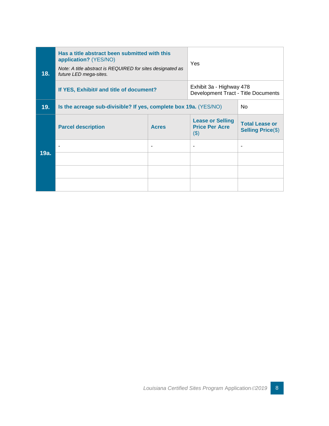| 18.  | Has a title abstract been submitted with this<br>application? (YES/NO)<br>Note: A title abstract is REQUIRED for sites designated as<br>future LED mega-sites. | Yes                                                             |                                                             |                                                   |
|------|----------------------------------------------------------------------------------------------------------------------------------------------------------------|-----------------------------------------------------------------|-------------------------------------------------------------|---------------------------------------------------|
|      | If YES, Exhibit# and title of document?                                                                                                                        | Exhibit 3a - Highway 478<br>Development Tract - Title Documents |                                                             |                                                   |
| 19.  | Is the acreage sub-divisible? If yes, complete box 19a. (YES/NO)                                                                                               |                                                                 | N <sub>0</sub>                                              |                                                   |
|      | <b>Parcel description</b>                                                                                                                                      | <b>Acres</b>                                                    | <b>Lease or Selling</b><br><b>Price Per Acre</b><br>$($ \$) | <b>Total Lease or</b><br><b>Selling Price(\$)</b> |
|      | ٠                                                                                                                                                              |                                                                 | ۰                                                           | ۰                                                 |
| 19a. |                                                                                                                                                                |                                                                 |                                                             |                                                   |
|      |                                                                                                                                                                |                                                                 |                                                             |                                                   |
|      |                                                                                                                                                                |                                                                 |                                                             |                                                   |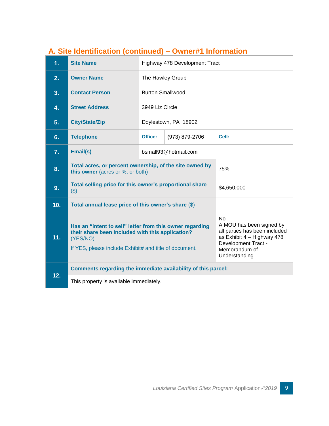| 1.  | <b>Site Name</b>                                                                                                                                                                                                                                                                                                                                    |                         | Highway 478 Development Tract |       |  |  |  |
|-----|-----------------------------------------------------------------------------------------------------------------------------------------------------------------------------------------------------------------------------------------------------------------------------------------------------------------------------------------------------|-------------------------|-------------------------------|-------|--|--|--|
| 2.  | <b>Owner Name</b>                                                                                                                                                                                                                                                                                                                                   | The Hawley Group        |                               |       |  |  |  |
| 3.  | <b>Contact Person</b>                                                                                                                                                                                                                                                                                                                               | <b>Burton Smallwood</b> |                               |       |  |  |  |
| 4.  | <b>Street Address</b>                                                                                                                                                                                                                                                                                                                               | 3949 Liz Circle         |                               |       |  |  |  |
| 5.  | <b>City/State/Zip</b>                                                                                                                                                                                                                                                                                                                               |                         | Doylestown, PA 18902          |       |  |  |  |
| 6.  | <b>Telephone</b>                                                                                                                                                                                                                                                                                                                                    | Office:                 | (973) 879-2706                | Cell: |  |  |  |
| 7.  | Email(s)                                                                                                                                                                                                                                                                                                                                            | bsmall93@hotmail.com    |                               |       |  |  |  |
| 8.  | Total acres, or percent ownership, of the site owned by<br>75%<br>this owner (acres or %, or both)                                                                                                                                                                                                                                                  |                         |                               |       |  |  |  |
| 9.  | Total selling price for this owner's proportional share<br>\$4,650,000<br>$($ \$)                                                                                                                                                                                                                                                                   |                         |                               |       |  |  |  |
| 10. | Total annual lease price of this owner's share (\$)<br>$\overline{\phantom{a}}$                                                                                                                                                                                                                                                                     |                         |                               |       |  |  |  |
| 11. | <b>No</b><br>A MOU has been signed by<br>Has an "intent to sell" letter from this owner regarding<br>all parties has been included<br>their share been included with this application?<br>as Exhibit 4 - Highway 478<br>(YES/NO)<br>Development Tract -<br>If YES, please include Exhibit# and title of document.<br>Memorandum of<br>Understanding |                         |                               |       |  |  |  |
| 12. | Comments regarding the immediate availability of this parcel:                                                                                                                                                                                                                                                                                       |                         |                               |       |  |  |  |
|     | This property is available immediately.                                                                                                                                                                                                                                                                                                             |                         |                               |       |  |  |  |

#### <span id="page-9-0"></span>**A. Site Identification (continued) – Owner#1 Information**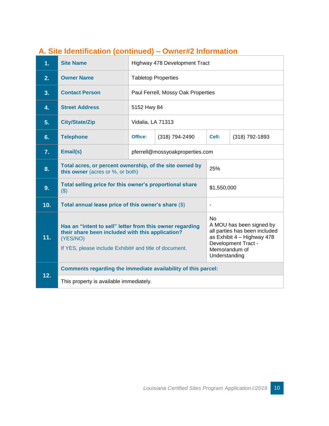| 1.  | <b>Site Name</b>                                                                                                                                                                                                                                                                                                                                    | Highway 478 Development Tract                                          |                                    |       |                  |  |  |
|-----|-----------------------------------------------------------------------------------------------------------------------------------------------------------------------------------------------------------------------------------------------------------------------------------------------------------------------------------------------------|------------------------------------------------------------------------|------------------------------------|-------|------------------|--|--|
| 2.  | <b>Owner Name</b>                                                                                                                                                                                                                                                                                                                                   |                                                                        | <b>Tabletop Properties</b>         |       |                  |  |  |
| 3.  | <b>Contact Person</b>                                                                                                                                                                                                                                                                                                                               |                                                                        | Paul Ferrell, Mossy Oak Properties |       |                  |  |  |
| 4.  | <b>Street Address</b>                                                                                                                                                                                                                                                                                                                               | 5152 Hwy 84                                                            |                                    |       |                  |  |  |
| 5.  | <b>City/State/Zip</b>                                                                                                                                                                                                                                                                                                                               | Vidalia, LA 71313                                                      |                                    |       |                  |  |  |
| 6.  | <b>Telephone</b>                                                                                                                                                                                                                                                                                                                                    | Office:                                                                | (318) 794-2490                     | Cell: | $(318)$ 792-1893 |  |  |
| 7.  | Email(s)                                                                                                                                                                                                                                                                                                                                            |                                                                        | pferrell@mossyoakproperties.com    |       |                  |  |  |
| 8.  | Total acres, or percent ownership, of the site owned by<br>25%<br>this owner (acres or %, or both)                                                                                                                                                                                                                                                  |                                                                        |                                    |       |                  |  |  |
| 9.  | (3)                                                                                                                                                                                                                                                                                                                                                 | Total selling price for this owner's proportional share<br>\$1,550,000 |                                    |       |                  |  |  |
| 10. | Total annual lease price of this owner's share (\$)<br>$\overline{a}$                                                                                                                                                                                                                                                                               |                                                                        |                                    |       |                  |  |  |
| 11. | <b>No</b><br>A MOU has been signed by<br>Has an "intent to sell" letter from this owner regarding<br>all parties has been included<br>their share been included with this application?<br>as Exhibit 4 - Highway 478<br>(YES/NO)<br>Development Tract -<br>If YES, please include Exhibit# and title of document.<br>Memorandum of<br>Understanding |                                                                        |                                    |       |                  |  |  |
| 12. | Comments regarding the immediate availability of this parcel:                                                                                                                                                                                                                                                                                       |                                                                        |                                    |       |                  |  |  |
|     | This property is available immediately.                                                                                                                                                                                                                                                                                                             |                                                                        |                                    |       |                  |  |  |

#### <span id="page-10-0"></span>**A. Site Identification (continued) – Owner#2 Information**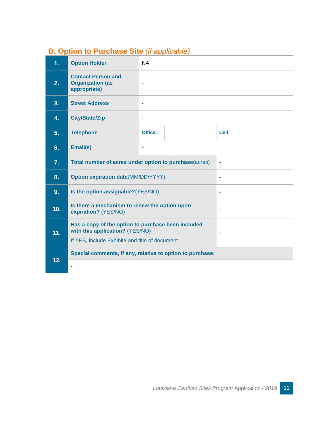### <span id="page-11-0"></span>**B. Option to Purchase Site** *(if applicable)*

| 1 <sub>1</sub> | <b>Option Holder</b>                                                                                                                                       | <b>NA</b>                    |  |                          |  |  |  |
|----------------|------------------------------------------------------------------------------------------------------------------------------------------------------------|------------------------------|--|--------------------------|--|--|--|
| 2.             | <b>Contact Person and</b><br><b>Organization (as</b><br>appropriate)                                                                                       | ä,                           |  |                          |  |  |  |
| 3.             | <b>Street Address</b>                                                                                                                                      |                              |  |                          |  |  |  |
| 4.             | <b>City/State/Zip</b>                                                                                                                                      | $\qquad \qquad \blacksquare$ |  |                          |  |  |  |
| 5.             | <b>Telephone</b>                                                                                                                                           | Office:                      |  | Cell:                    |  |  |  |
| 6.             | Email(s)                                                                                                                                                   | $\overline{\phantom{a}}$     |  |                          |  |  |  |
| 7.             | Total number of acres under option to purchase(acres)                                                                                                      |                              |  | $\overline{\phantom{a}}$ |  |  |  |
| 8.             | <b>Option expiration date(MM/DD/YYYY)</b>                                                                                                                  |                              |  |                          |  |  |  |
| 9.             | Is the option assignable? (YES/NO)                                                                                                                         |                              |  |                          |  |  |  |
| 10.            | Is there a mechanism to renew the option upon<br>expiration? (YES/NO)                                                                                      |                              |  |                          |  |  |  |
| 11.            | Has a copy of the option to purchase been included<br>with this application? (YES/NO)<br>$\blacksquare$<br>If YES, include Exhibit# and title of document. |                              |  |                          |  |  |  |
|                | Special comments, if any, relative to option to purchase:                                                                                                  |                              |  |                          |  |  |  |
| 12.            |                                                                                                                                                            |                              |  |                          |  |  |  |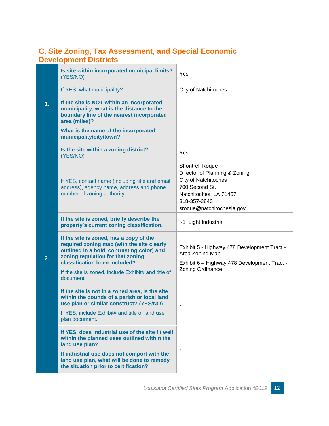#### <span id="page-12-0"></span>**C. Site Zoning, Tax Assessment, and Special Economic Development Districts**

|    | Is site within incorporated municipal limits?<br>(YES/NO)                                                                                                                                                                                                                     | Yes                                                                                                                                                                             |
|----|-------------------------------------------------------------------------------------------------------------------------------------------------------------------------------------------------------------------------------------------------------------------------------|---------------------------------------------------------------------------------------------------------------------------------------------------------------------------------|
|    | If YES, what municipality?                                                                                                                                                                                                                                                    | <b>City of Natchitoches</b>                                                                                                                                                     |
| 1. | If the site is NOT within an incorporated<br>municipality, what is the distance to the<br>boundary line of the nearest incorporated<br>area (miles)?                                                                                                                          | $\blacksquare$                                                                                                                                                                  |
|    | What is the name of the incorporated<br>municipality/city/town?                                                                                                                                                                                                               |                                                                                                                                                                                 |
|    | Is the site within a zoning district?<br>(YES/NO)                                                                                                                                                                                                                             | Yes                                                                                                                                                                             |
| 2. | If YES, contact name (including title and email<br>address), agency name, address and phone<br>number of zoning authority.                                                                                                                                                    | <b>Shontrell Roque</b><br>Director of Planning & Zoning<br><b>City of Natchitoches</b><br>700 Second St.<br>Natchitoches, LA 71457<br>318-357-3840<br>sroque@natchitochesla.gov |
|    | If the site is zoned, briefly describe the<br>property's current zoning classification.                                                                                                                                                                                       | I-1 Light Industrial                                                                                                                                                            |
|    | If the site is zoned, has a copy of the<br>required zoning map (with the site clearly<br>outlined in a bold, contrasting color) and<br>zoning regulation for that zoning<br>classification been included?<br>If the site is zoned, include Exhibit# and title of<br>document. | Exhibit 5 - Highway 478 Development Tract -<br>Area Zoning Map<br>Exhibit 6 - Highway 478 Development Tract -<br>Zoning Ordinance                                               |
|    | If the site is not in a zoned area, is the site<br>within the bounds of a parish or local land<br>use plan or similar construct? (YES/NO)<br>If YES, include Exhibit# and title of land use<br>plan document.                                                                 | $\blacksquare$                                                                                                                                                                  |
|    | If YES, does industrial use of the site fit well<br>within the planned uses outlined within the<br>land use plan?<br>If industrial use does not comport with the<br>land use plan, what will be done to remedy<br>the situation prior to certification?                       | $\overline{\phantom{a}}$                                                                                                                                                        |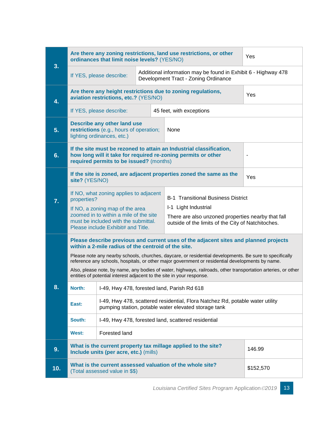| 3.  | Are there any zoning restrictions, land use restrictions, or other<br>Yes<br>ordinances that limit noise levels? (YES/NO)                                                                                   |                                                                                                                                    |                                                                   |                                                                                                                                       |                |
|-----|-------------------------------------------------------------------------------------------------------------------------------------------------------------------------------------------------------------|------------------------------------------------------------------------------------------------------------------------------------|-------------------------------------------------------------------|---------------------------------------------------------------------------------------------------------------------------------------|----------------|
|     |                                                                                                                                                                                                             | Additional information may be found in Exhibit 6 - Highway 478<br>If YES, please describe:<br>Development Tract - Zoning Ordinance |                                                                   |                                                                                                                                       |                |
| 4.  | Are there any height restrictions due to zoning regulations,<br>aviation restrictions, etc.? (YES/NO)                                                                                                       |                                                                                                                                    | Yes                                                               |                                                                                                                                       |                |
|     | If YES, please describe:                                                                                                                                                                                    |                                                                                                                                    | 45 feet, with exceptions                                          |                                                                                                                                       |                |
| 5.  |                                                                                                                                                                                                             | <b>Describe any other land use</b><br>restrictions (e.g., hours of operation;<br>lighting ordinances, etc.)                        |                                                                   | None                                                                                                                                  |                |
| 6.  |                                                                                                                                                                                                             | required permits to be issued? (months)                                                                                            |                                                                   | If the site must be rezoned to attain an Industrial classification,<br>how long will it take for required re-zoning permits or other  | $\blacksquare$ |
|     | site? (YES/NO)                                                                                                                                                                                              |                                                                                                                                    |                                                                   | If the site is zoned, are adjacent properties zoned the same as the                                                                   | Yes            |
| 7.  | If NO, what zoning applies to adjacent<br>properties?                                                                                                                                                       |                                                                                                                                    | <b>B-1 Transitional Business District</b><br>I-1 Light Industrial |                                                                                                                                       |                |
|     | If NO, a zoning map of the area<br>zoomed in to within a mile of the site<br>must be included with the submittal.<br>Please include Exhibit# and Title.                                                     |                                                                                                                                    |                                                                   | There are also unzoned properties nearby that fall<br>outside of the limits of the City of Natchitoches.                              |                |
|     |                                                                                                                                                                                                             | within a 2-mile radius of the centroid of the site.                                                                                |                                                                   | Please describe previous and current uses of the adjacent sites and planned projects                                                  |                |
|     | Please note any nearby schools, churches, daycare, or residential developments. Be sure to specifically<br>reference any schools, hospitals, or other major government or residential developments by name. |                                                                                                                                    |                                                                   |                                                                                                                                       |                |
|     | Also, please note, by name, any bodies of water, highways, railroads, other transportation arteries, or other<br>entities of potential interest adjacent to the site in your response.                      |                                                                                                                                    |                                                                   |                                                                                                                                       |                |
| 8   | North:                                                                                                                                                                                                      | I-49, Hwy 478, forested land, Parish Rd 618                                                                                        |                                                                   |                                                                                                                                       |                |
|     | East:                                                                                                                                                                                                       |                                                                                                                                    |                                                                   | I-49, Hwy 478, scattered residential, Flora Natchez Rd, potable water utility<br>pumping station, potable water elevated storage tank |                |
|     | South:                                                                                                                                                                                                      |                                                                                                                                    |                                                                   | I-49, Hwy 478, forested land, scattered residential                                                                                   |                |
|     | West:                                                                                                                                                                                                       | Forested land                                                                                                                      |                                                                   |                                                                                                                                       |                |
| 9.  |                                                                                                                                                                                                             | Include units (per acre, etc.) (mills)                                                                                             |                                                                   | What is the current property tax millage applied to the site?                                                                         | 146.99         |
| 10. |                                                                                                                                                                                                             | (Total assessed value in \$\$)                                                                                                     |                                                                   | What is the current assessed valuation of the whole site?                                                                             | \$152,570      |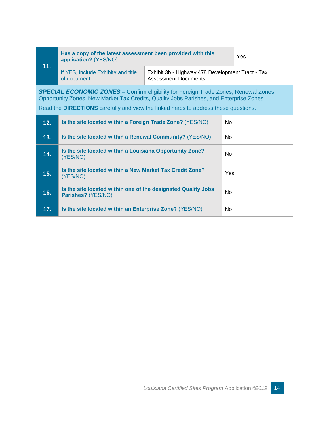| 11.                                                                                                                                                                                                                                                                         | Has a copy of the latest assessment been provided with this<br>application? (YES/NO) |                                                                                 | Yes |  |
|-----------------------------------------------------------------------------------------------------------------------------------------------------------------------------------------------------------------------------------------------------------------------------|--------------------------------------------------------------------------------------|---------------------------------------------------------------------------------|-----|--|
|                                                                                                                                                                                                                                                                             | If YES, include Exhibit# and title<br>of document.                                   | Exhibit 3b - Highway 478 Development Tract - Tax<br><b>Assessment Documents</b> |     |  |
| <b>SPECIAL ECONOMIC ZONES</b> – Confirm eligibility for Foreign Trade Zones, Renewal Zones,<br>Opportunity Zones, New Market Tax Credits, Quality Jobs Parishes, and Enterprise Zones<br>Read the DIRECTIONS carefully and view the linked maps to address these questions. |                                                                                      |                                                                                 |     |  |
| 12.                                                                                                                                                                                                                                                                         | Is the site located within a Foreign Trade Zone? (YES/NO)<br>N <sub>0</sub>          |                                                                                 |     |  |
| 13.                                                                                                                                                                                                                                                                         | Is the site located within a Renewal Community? (YES/NO)                             |                                                                                 |     |  |
| 14.                                                                                                                                                                                                                                                                         | Is the site located within a Louisiana Opportunity Zone?<br>(YES/NO)                 |                                                                                 |     |  |
| 15.                                                                                                                                                                                                                                                                         | Is the site located within a New Market Tax Credit Zone?<br>(YES/NO)                 |                                                                                 | Yes |  |
| 16.                                                                                                                                                                                                                                                                         | Is the site located within one of the designated Quality Jobs<br>Parishes? (YES/NO)  |                                                                                 |     |  |
| 17.                                                                                                                                                                                                                                                                         | Is the site located within an Enterprise Zone? (YES/NO)                              |                                                                                 | Nο  |  |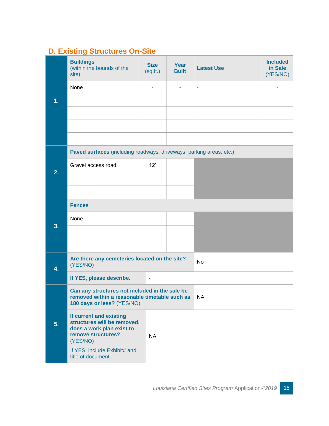### <span id="page-15-0"></span>**D. Existing Structures On-Site**

|    | <b>Buildings</b><br>(within the bounds of the<br>site)                                                                        | <b>Size</b><br>(sq.fr.)  | Year<br><b>Built</b>     | <b>Latest Use</b>        | <b>Included</b><br>in Sale<br>(YES/NO) |
|----|-------------------------------------------------------------------------------------------------------------------------------|--------------------------|--------------------------|--------------------------|----------------------------------------|
|    | None                                                                                                                          |                          |                          | $\overline{\phantom{a}}$ |                                        |
| 1. |                                                                                                                               |                          |                          |                          |                                        |
|    |                                                                                                                               |                          |                          |                          |                                        |
|    |                                                                                                                               |                          |                          |                          |                                        |
|    |                                                                                                                               |                          |                          |                          |                                        |
|    | Paved surfaces (including roadways, driveways, parking areas, etc.)                                                           |                          |                          |                          |                                        |
| 2. | Gravel access road                                                                                                            | 12'                      |                          |                          |                                        |
|    |                                                                                                                               |                          |                          |                          |                                        |
|    |                                                                                                                               |                          |                          |                          |                                        |
|    | <b>Fences</b>                                                                                                                 |                          |                          |                          |                                        |
| 3. | None                                                                                                                          | $\blacksquare$           | $\overline{\phantom{a}}$ |                          |                                        |
|    |                                                                                                                               |                          |                          |                          |                                        |
|    |                                                                                                                               |                          |                          |                          |                                        |
| 4. | Are there any cemeteries located on the site?<br>(YES/NO)                                                                     |                          |                          | No                       |                                        |
|    | If YES, please describe.                                                                                                      | $\overline{\phantom{a}}$ |                          |                          |                                        |
|    | Can any structures not included in the sale be<br>removed within a reasonable timetable such as<br>180 days or less? (YES/NO) |                          |                          | $\mid$ NA                |                                        |
| 5. | If current and existing<br>structures will be removed,<br>does a work plan exist to<br>remove structures?<br>(YES/NO)         | <b>NA</b>                |                          |                          |                                        |
|    | If YES, include Exhibit# and<br>title of document.                                                                            |                          |                          |                          |                                        |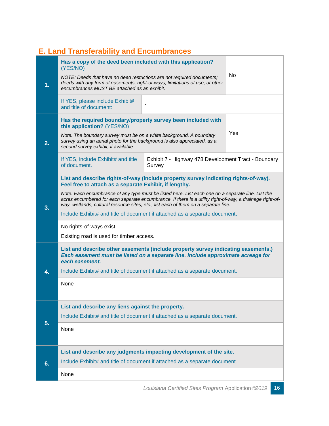### <span id="page-16-0"></span>**E. Land Transferability and Encumbrances**

| 1. | Has a copy of the deed been included with this application?<br>(YES/NO)<br>No.<br>NOTE: Deeds that have no deed restrictions are not required documents;<br>deeds with any form of easements, right-of-ways, limitations of use, or other<br>encumbrances MUST BE attached as an exhibit.                                                                                                                                                                                                                                                                        |                                                                |  |  |  |
|----|------------------------------------------------------------------------------------------------------------------------------------------------------------------------------------------------------------------------------------------------------------------------------------------------------------------------------------------------------------------------------------------------------------------------------------------------------------------------------------------------------------------------------------------------------------------|----------------------------------------------------------------|--|--|--|
|    | If YES, please include Exhibit#<br>and title of document:                                                                                                                                                                                                                                                                                                                                                                                                                                                                                                        |                                                                |  |  |  |
| 2. | Has the required boundary/property survey been included with<br>this application? (YES/NO)<br>Yes<br>Note: The boundary survey must be on a white background. A boundary<br>survey using an aerial photo for the background is also appreciated, as a<br>second survey exhibit, if available.                                                                                                                                                                                                                                                                    |                                                                |  |  |  |
|    | If YES, include Exhibit# and title<br>of document.                                                                                                                                                                                                                                                                                                                                                                                                                                                                                                               | Exhibit 7 - Highway 478 Development Tract - Boundary<br>Survey |  |  |  |
| 3. | List and describe rights-of-way (include property survey indicating rights-of-way).<br>Feel free to attach as a separate Exhibit, if lengthy.<br>Note: Each encumbrance of any type must be listed here. List each one on a separate line. List the<br>acres encumbered for each separate encumbrance. If there is a utility right-of-way, a drainage right-of-<br>way, wetlands, cultural resource sites, etc., list each of them on a separate line.<br>Include Exhibit# and title of document if attached as a separate document.<br>No rights-of-ways exist. |                                                                |  |  |  |
| 4. | Existing road is used for timber access.<br>List and describe other easements (include property survey indicating easements.)<br>Each easement must be listed on a separate line. Include approximate acreage for<br>each easement.<br>Include Exhibit# and title of document if attached as a separate document.<br>None                                                                                                                                                                                                                                        |                                                                |  |  |  |
| 5. | List and describe any liens against the property.<br>Include Exhibit# and title of document if attached as a separate document.<br>None                                                                                                                                                                                                                                                                                                                                                                                                                          |                                                                |  |  |  |
| 6. | List and describe any judgments impacting development of the site.<br>Include Exhibit# and title of document if attached as a separate document.                                                                                                                                                                                                                                                                                                                                                                                                                 |                                                                |  |  |  |
|    | None                                                                                                                                                                                                                                                                                                                                                                                                                                                                                                                                                             |                                                                |  |  |  |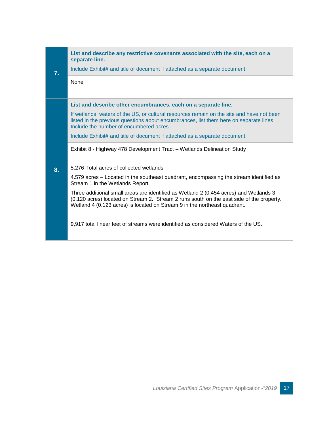|    | List and describe any restrictive covenants associated with the site, each on a                                                                                                                                                                                |  |  |
|----|----------------------------------------------------------------------------------------------------------------------------------------------------------------------------------------------------------------------------------------------------------------|--|--|
| 7. | separate line.<br>Include Exhibit# and title of document if attached as a separate document.                                                                                                                                                                   |  |  |
|    | None                                                                                                                                                                                                                                                           |  |  |
|    | List and describe other encumbrances, each on a separate line.                                                                                                                                                                                                 |  |  |
|    | If wetlands, waters of the US, or cultural resources remain on the site and have not been<br>listed in the previous questions about encumbrances, list them here on separate lines.<br>Include the number of encumbered acres.                                 |  |  |
|    | Include Exhibit# and title of document if attached as a separate document.                                                                                                                                                                                     |  |  |
|    | Exhibit 8 - Highway 478 Development Tract - Wetlands Delineation Study                                                                                                                                                                                         |  |  |
|    |                                                                                                                                                                                                                                                                |  |  |
| 8. | 5.276 Total acres of collected wetlands                                                                                                                                                                                                                        |  |  |
|    | 4.579 acres – Located in the southeast quadrant, encompassing the stream identified as<br>Stream 1 in the Wetlands Report.                                                                                                                                     |  |  |
|    | Three additional small areas are identified as Wetland 2 (0.454 acres) and Wetlands 3<br>(0.120 acres) located on Stream 2. Stream 2 runs south on the east side of the property.<br>Wetland 4 (0.123 acres) is located on Stream 9 in the northeast quadrant. |  |  |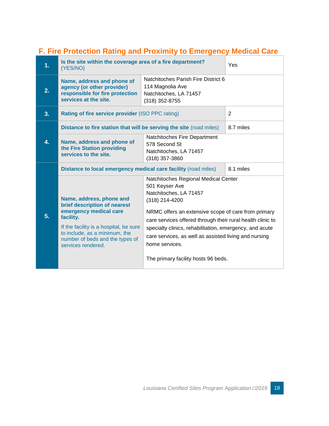### <span id="page-18-0"></span>**F. Fire Protection Rating and Proximity to Emergency Medical Care**

| 1. | Is the site within the coverage area of a fire department?<br>(YES/NO)                                                                                                                                                              |                                                                                                                                                                                                                                                                                                                                                               | Yes            |
|----|-------------------------------------------------------------------------------------------------------------------------------------------------------------------------------------------------------------------------------------|---------------------------------------------------------------------------------------------------------------------------------------------------------------------------------------------------------------------------------------------------------------------------------------------------------------------------------------------------------------|----------------|
| 2. | Natchitoches Parish Fire District 6<br>Name, address and phone of<br>114 Magnolia Ave<br>agency (or other provider)<br>responsible for fire protection<br>Natchitoches, LA 71457<br>services at the site.<br>(318) 352-8755         |                                                                                                                                                                                                                                                                                                                                                               |                |
| 3. | Rating of fire service provider (ISO PPC rating)                                                                                                                                                                                    |                                                                                                                                                                                                                                                                                                                                                               | $\overline{2}$ |
|    | Distance to fire station that will be serving the site (road miles)                                                                                                                                                                 |                                                                                                                                                                                                                                                                                                                                                               | 8.7 miles      |
| 4. | Natchitoches Fire Department<br>Name, address and phone of<br>578 Second St<br>the Fire Station providing<br>Natchitoches, LA 71457<br>services to the site.<br>$(318)$ 357-3860                                                    |                                                                                                                                                                                                                                                                                                                                                               |                |
|    | Distance to local emergency medical care facility (road miles)                                                                                                                                                                      |                                                                                                                                                                                                                                                                                                                                                               | 8.1 miles      |
| 5. | Name, address, phone and<br>brief description of nearest<br>emergency medical care<br>facility.<br>If the facility is a hospital, be sure<br>to include, as a minimum, the<br>number of beds and the types of<br>services rendered. | Natchitoches Regional Medical Center<br>501 Keyser Ave<br>Natchitoches, LA 71457<br>(318) 214-4200<br>NRMC offers an extensive scope of care from primary<br>care services offered through their rural health clinic to<br>specialty clinics, rehabilitation, emergency, and acute<br>care services, as well as assisted living and nursing<br>home services. |                |
|    |                                                                                                                                                                                                                                     | The primary facility hosts 96 beds.                                                                                                                                                                                                                                                                                                                           |                |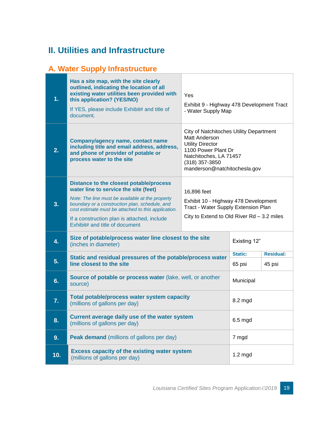## <span id="page-19-0"></span>**II. Utilities and Infrastructure**

### <span id="page-19-1"></span>**A. Water Supply Infrastructure**

| 1.               | Has a site map, with the site clearly<br>outlined, indicating the location of all<br>existing water utilities been provided with<br>Yes<br>this application? (YES/NO)<br>Exhibit 9 - Highway 478 Development Tract<br>If YES, please include Exhibit# and title of<br>- Water Supply Map<br>document.                                                                                |           |                          |                                                                                    |  |
|------------------|--------------------------------------------------------------------------------------------------------------------------------------------------------------------------------------------------------------------------------------------------------------------------------------------------------------------------------------------------------------------------------------|-----------|--------------------------|------------------------------------------------------------------------------------|--|
| 2.               | City of Natchitoches Utility Department<br>Matt Anderson<br><b>Company/agency name, contact name</b><br><b>Utility Director</b><br>including title and email address, address,<br>1100 Power Plant Dr<br>and phone of provider of potable or<br>Natchitoches, LA 71457<br>process water to the site<br>(318) 357-3850<br>manderson@natchitochesla.gov                                |           |                          |                                                                                    |  |
| 3.               | Distance to the closest potable/process<br>water line to service the site (feet)<br>16,896 feet<br>Note: The line must be available at the property<br>boundary or a construction plan, schedule, and<br>Tract - Water Supply Extension Plan<br>cost estimate must be attached to this application.<br>If a construction plan is attached, include<br>Exhibit# and title of document |           |                          | Exhibit 10 - Highway 478 Development<br>City to Extend to Old River Rd - 3.2 miles |  |
| 4.               | Size of potable/process water line closest to the site<br>(inches in diameter)                                                                                                                                                                                                                                                                                                       |           |                          | Existing 12"                                                                       |  |
| 5.               | Static and residual pressures of the potable/process water<br>line closest to the site                                                                                                                                                                                                                                                                                               |           | <b>Static:</b><br>65 psi | <b>Residual:</b><br>45 psi                                                         |  |
| 6.               | Source of potable or process water (lake, well, or another<br>source)                                                                                                                                                                                                                                                                                                                | Municipal |                          |                                                                                    |  |
| $\overline{7}$ . | Total potable/process water system capacity<br>(millions of gallons per day)                                                                                                                                                                                                                                                                                                         | 8.2 mgd   |                          |                                                                                    |  |
| 8.               | Current average daily use of the water system<br>(millions of gallons per day)                                                                                                                                                                                                                                                                                                       | $6.5$ mgd |                          |                                                                                    |  |
| 9.               | Peak demand (millions of gallons per day)                                                                                                                                                                                                                                                                                                                                            |           | 7 mgd                    |                                                                                    |  |
| 10.              | <b>Excess capacity of the existing water system</b><br>(millions of gallons per day)                                                                                                                                                                                                                                                                                                 |           | $1.2$ mgd                |                                                                                    |  |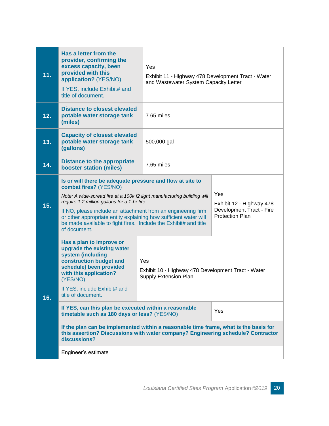| 11. | Has a letter from the<br>provider, confirming the<br>excess capacity, been<br>provided with this<br>application? (YES/NO)<br>If YES, include Exhibit# and<br>title of document.                                                                                                                                                                                                                                                                                         | Yes<br>Exhibit 11 - Highway 478 Development Tract - Water<br>and Wastewater System Capacity Letter |                                                      |  |
|-----|-------------------------------------------------------------------------------------------------------------------------------------------------------------------------------------------------------------------------------------------------------------------------------------------------------------------------------------------------------------------------------------------------------------------------------------------------------------------------|----------------------------------------------------------------------------------------------------|------------------------------------------------------|--|
| 12. | <b>Distance to closest elevated</b><br>potable water storage tank<br>(miles)                                                                                                                                                                                                                                                                                                                                                                                            | 7.65 miles                                                                                         |                                                      |  |
| 13. | <b>Capacity of closest elevated</b><br>potable water storage tank<br>(gallons)                                                                                                                                                                                                                                                                                                                                                                                          | 500,000 gal                                                                                        |                                                      |  |
| 14. | <b>Distance to the appropriate</b><br><b>booster station (miles)</b>                                                                                                                                                                                                                                                                                                                                                                                                    | 7.65 miles                                                                                         |                                                      |  |
| 15. | Is or will there be adequate pressure and flow at site to<br>combat fires? (YES/NO)<br>Yes<br>Note: A wide-spread fire at a 100k f2 light manufacturing building will<br>require 1.2 million gallons for a 1-hr fire.<br>If NO, please include an attachment from an engineering firm<br><b>Protection Plan</b><br>or other appropriate entity explaining how sufficient water will<br>be made available to fight fires. Include the Exhibit# and title<br>of document. |                                                                                                    | Exhibit 12 - Highway 478<br>Development Tract - Fire |  |
| 16. | Has a plan to improve or<br>upgrade the existing water<br>system (including<br>construction budget and<br>schedule) been provided<br>with this application?<br>(YES/NO)<br>If YES, include Exhibit# and<br>title of document.                                                                                                                                                                                                                                           | Yes<br>Exhibit 10 - Highway 478 Development Tract - Water<br><b>Supply Extension Plan</b>          |                                                      |  |
|     | If YES, can this plan be executed within a reasonable<br>timetable such as 180 days or less? (YES/NO)                                                                                                                                                                                                                                                                                                                                                                   |                                                                                                    | Yes                                                  |  |
|     | If the plan can be implemented within a reasonable time frame, what is the basis for<br>this assertion? Discussions with water company? Engineering schedule? Contractor<br>discussions?                                                                                                                                                                                                                                                                                |                                                                                                    |                                                      |  |
|     | Engineer's estimate                                                                                                                                                                                                                                                                                                                                                                                                                                                     |                                                                                                    |                                                      |  |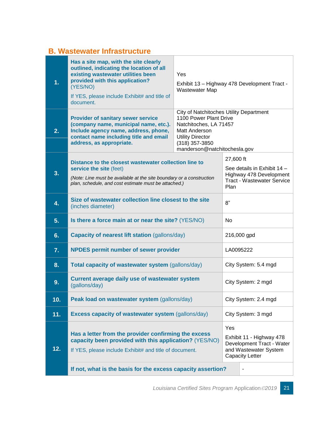#### <span id="page-21-0"></span>**B. Wastewater Infrastructure**

| 1.  | Has a site map, with the site clearly<br>outlined, indicating the location of all<br>existing wastewater utilities been<br>provided with this application?<br>(YES/NO)<br>If YES, please include Exhibit# and title of<br>document.      | Yes<br>Exhibit 13 - Highway 478 Development Tract -<br><b>Wastewater Map</b>                                                                                                                |                   |                                                                                                          |
|-----|------------------------------------------------------------------------------------------------------------------------------------------------------------------------------------------------------------------------------------------|---------------------------------------------------------------------------------------------------------------------------------------------------------------------------------------------|-------------------|----------------------------------------------------------------------------------------------------------|
| 2.  | <b>Provider of sanitary sewer service</b><br>(company name, municipal name, etc.).<br>Include agency name, address, phone,<br>contact name including title and email<br>address, as appropriate.                                         | City of Natchitoches Utility Department<br>1100 Power Plant Drive<br>Natchitoches, LA 71457<br>Matt Anderson<br><b>Utility Director</b><br>$(318)$ 357-3850<br>manderson@natchitochesla.gov |                   |                                                                                                          |
| 3.  | Distance to the closest wastewater collection line to<br>service the site (feet)<br>(Note: Line must be available at the site boundary or a construction<br>plan, schedule, and cost estimate must be attached.)                         |                                                                                                                                                                                             | 27,600 ft<br>Plan | See details in Exhibit 14 -<br>Highway 478 Development<br><b>Tract - Wastewater Service</b>              |
| 4.  | Size of wastewater collection line closest to the site<br>(inches diameter)                                                                                                                                                              |                                                                                                                                                                                             | 8"                |                                                                                                          |
| 5.  | Is there a force main at or near the site? (YES/NO)                                                                                                                                                                                      |                                                                                                                                                                                             | <b>No</b>         |                                                                                                          |
| 6.  | <b>Capacity of nearest lift station (gallons/day)</b>                                                                                                                                                                                    |                                                                                                                                                                                             |                   | 216,000 gpd                                                                                              |
| 7.  | <b>NPDES permit number of sewer provider</b>                                                                                                                                                                                             |                                                                                                                                                                                             | LA0095222         |                                                                                                          |
| 8.  | Total capacity of wastewater system (gallons/day)                                                                                                                                                                                        |                                                                                                                                                                                             |                   | City System: 5.4 mgd                                                                                     |
| 9.  | <b>Current average daily use of wastewater system</b><br>(gallons/day)                                                                                                                                                                   |                                                                                                                                                                                             |                   | City System: 2 mgd                                                                                       |
| 10. | Peak load on wastewater system (gallons/day)                                                                                                                                                                                             |                                                                                                                                                                                             |                   | City System: 2.4 mgd                                                                                     |
| 11. | <b>Excess capacity of wastewater system (gallons/day)</b>                                                                                                                                                                                |                                                                                                                                                                                             |                   | City System: 3 mgd                                                                                       |
| 12. | Has a letter from the provider confirming the excess<br>capacity been provided with this application? (YES/NO)<br>If YES, please include Exhibit# and title of document.<br>If not, what is the basis for the excess capacity assertion? |                                                                                                                                                                                             | Yes               | Exhibit 11 - Highway 478<br>Development Tract - Water<br>and Wastewater System<br><b>Capacity Letter</b> |
|     |                                                                                                                                                                                                                                          |                                                                                                                                                                                             |                   |                                                                                                          |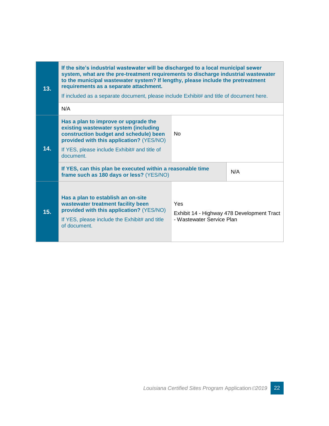| 13. | If the site's industrial wastewater will be discharged to a local municipal sewer<br>system, what are the pre-treatment requirements to discharge industrial wastewater<br>to the municipal wastewater system? If lengthy, please include the pretreatment<br>requirements as a separate attachment.<br>If included as a separate document, please include Exhibit# and title of document here. |                                  |                                            |  |
|-----|-------------------------------------------------------------------------------------------------------------------------------------------------------------------------------------------------------------------------------------------------------------------------------------------------------------------------------------------------------------------------------------------------|----------------------------------|--------------------------------------------|--|
|     | N/A                                                                                                                                                                                                                                                                                                                                                                                             |                                  |                                            |  |
| 14. | Has a plan to improve or upgrade the<br>existing wastewater system (including<br>construction budget and schedule) been<br>provided with this application? (YES/NO)<br>If YES, please include Exhibit# and title of<br>document.<br>If YES, can this plan be executed within a reasonable time                                                                                                  | <b>No</b>                        |                                            |  |
|     | N/A<br>frame such as 180 days or less? (YES/NO)                                                                                                                                                                                                                                                                                                                                                 |                                  |                                            |  |
| 15. | Has a plan to establish an on-site<br>wastewater treatment facility been<br>provided with this application? (YES/NO)<br>If YES, please include the Exhibit# and title<br>of document.                                                                                                                                                                                                           | Yes<br>- Wastewater Service Plan | Exhibit 14 - Highway 478 Development Tract |  |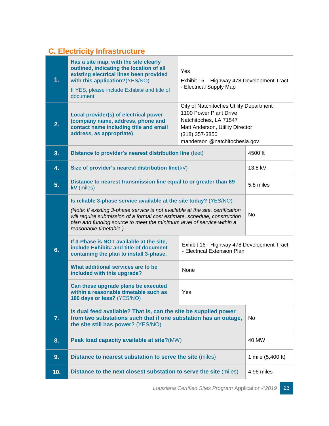### <span id="page-23-0"></span>**C. Electricity Infrastructure**

| 1.  | Has a site map, with the site clearly<br>outlined, indicating the location of all<br>existing electrical lines been provided<br>with this application?(YES/NO)<br>If YES, please include Exhibit# and title of<br>document.                                                                                                             | Yes<br>Exhibit 15 - Highway 478 Development Tract<br>- Electrical Supply Map |                   |
|-----|-----------------------------------------------------------------------------------------------------------------------------------------------------------------------------------------------------------------------------------------------------------------------------------------------------------------------------------------|------------------------------------------------------------------------------|-------------------|
| 2.  | City of Natchitoches Utility Department<br>1100 Power Plant Drive<br>Local provider(s) of electrical power<br>Natchitoches, LA 71547<br>(company name, address, phone and<br>contact name including title and email<br>Matt Anderson, Utility Director<br>address, as appropriate)<br>$(318)$ 357-3850<br>manderson @natchitochesla.gov |                                                                              |                   |
| 3.  | Distance to provider's nearest distribution line (feet)                                                                                                                                                                                                                                                                                 |                                                                              | 4500 ft           |
| 4.  | Size of provider's nearest distribution line(kV)                                                                                                                                                                                                                                                                                        |                                                                              | 13.8 kV           |
| 5.  | Distance to nearest transmission line equal to or greater than 69<br>kV (miles)                                                                                                                                                                                                                                                         | 5.8 miles                                                                    |                   |
|     | Is reliable 3-phase service available at the site today? (YES/NO)<br>(Note: If existing 3-phase service is not available at the site, certification<br>will require submission of a formal cost estimate, schedule, construction<br>plan and funding source to meet the minimum level of service within a<br>reasonable timetable.)     |                                                                              | No                |
| 6.  | If 3-Phase is NOT available at the site,<br>Exhibit 16 - Highway 478 Development Tract<br>include Exhibit# and title of document<br>- Electrical Extension Plan<br>containing the plan to install 3-phase.                                                                                                                              |                                                                              |                   |
|     | What additional services are to be<br>None<br>included with this upgrade?                                                                                                                                                                                                                                                               |                                                                              |                   |
|     | Can these upgrade plans be executed<br>within a reasonable timetable such as<br>180 days or less? (YES/NO)                                                                                                                                                                                                                              | Yes                                                                          |                   |
| 7.  | Is dual feed available? That is, can the site be supplied power<br>from two substations such that if one substation has an outage,<br>the site still has power? (YES/NO)                                                                                                                                                                |                                                                              | No                |
| 8.  | Peak load capacity available at site?(MW)                                                                                                                                                                                                                                                                                               |                                                                              | 40 MW             |
| 9.  | Distance to nearest substation to serve the site (miles)                                                                                                                                                                                                                                                                                |                                                                              | 1 mile (5,400 ft) |
| 10. | Distance to the next closest substation to serve the site (miles)                                                                                                                                                                                                                                                                       |                                                                              | 4.96 miles        |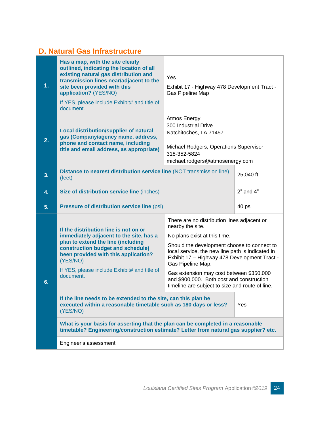#### <span id="page-24-0"></span>**D. Natural Gas Infrastructure**

| 1. | Has a map, with the site clearly<br>outlined, indicating the location of all<br>existing natural gas distribution and<br>transmission lines near/adjacent to the<br>site been provided with this<br>application? (YES/NO)<br>If YES, please include Exhibit# and title of<br>document.                                                                                                                                                                                                                                                                                                                                             | Yes<br>Exhibit 17 - Highway 478 Development Tract -<br>Gas Pipeline Map                                                                                                                                                                                                                                                                                                                                             |               |
|----|------------------------------------------------------------------------------------------------------------------------------------------------------------------------------------------------------------------------------------------------------------------------------------------------------------------------------------------------------------------------------------------------------------------------------------------------------------------------------------------------------------------------------------------------------------------------------------------------------------------------------------|---------------------------------------------------------------------------------------------------------------------------------------------------------------------------------------------------------------------------------------------------------------------------------------------------------------------------------------------------------------------------------------------------------------------|---------------|
| 2. | <b>Local distribution/supplier of natural</b><br>gas (Company/agency name, address,<br>phone and contact name, including<br>title and email address, as appropriate)                                                                                                                                                                                                                                                                                                                                                                                                                                                               | Atmos Energy<br>300 Industrial Drive<br>Natchitoches, LA 71457<br>Michael Rodgers, Operations Supervisor<br>318-352-5824<br>michael.rodgers@atmosenergy.com                                                                                                                                                                                                                                                         |               |
| 3. | Distance to nearest distribution service line (NOT transmission line)<br>(feet)                                                                                                                                                                                                                                                                                                                                                                                                                                                                                                                                                    |                                                                                                                                                                                                                                                                                                                                                                                                                     | 25,040 ft     |
| 4. | Size of distribution service line (inches)                                                                                                                                                                                                                                                                                                                                                                                                                                                                                                                                                                                         |                                                                                                                                                                                                                                                                                                                                                                                                                     | $2"$ and $4"$ |
| 5. | <b>Pressure of distribution service line (psi)</b>                                                                                                                                                                                                                                                                                                                                                                                                                                                                                                                                                                                 | 40 psi                                                                                                                                                                                                                                                                                                                                                                                                              |               |
| 6. | If the distribution line is not on or<br>immediately adjacent to the site, has a<br>plan to extend the line (including<br>construction budget and schedule)<br>been provided with this application?<br>(YES/NO)<br>If YES, please include Exhibit# and title of<br>document.<br>If the line needs to be extended to the site, can this plan be<br>executed within a reasonable timetable such as 180 days or less?<br>(YES/NO)<br>What is your basis for asserting that the plan can be completed in a reasonable<br>timetable? Engineering/construction estimate? Letter from natural gas supplier? etc.<br>Engineer's assessment | There are no distribution lines adjacent or<br>nearby the site.<br>No plans exist at this time.<br>Should the development choose to connect to<br>local service, the new line path is indicated in<br>Exhibit 17 - Highway 478 Development Tract -<br>Gas Pipeline Map.<br>Gas extension may cost between \$350,000<br>and \$900,000. Both cost and construction<br>timeline are subject to size and route of line. | Yes           |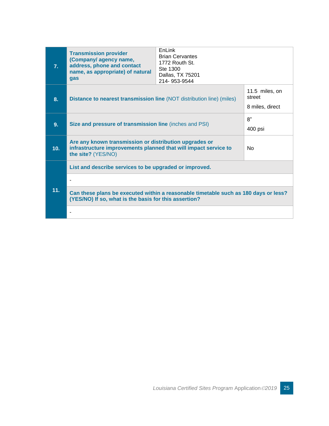| 7 <sub>1</sub> | <b>Transmission provider</b><br>(Company/ agency name,<br>address, phone and contact<br>name, as appropriate) of natural<br>gas                 | EnLink<br><b>Brian Cervantes</b><br>1772 Routh St.<br>Ste 1300<br>Dallas, TX 75201<br>214-953-9544 |                                             |
|----------------|-------------------------------------------------------------------------------------------------------------------------------------------------|----------------------------------------------------------------------------------------------------|---------------------------------------------|
| 8.             | Distance to nearest transmission line (NOT distribution line) (miles)                                                                           |                                                                                                    | 11.5 miles, on<br>street<br>8 miles, direct |
| 9.             | Size and pressure of transmission line (inches and PSI)                                                                                         |                                                                                                    | 8"<br>400 psi                               |
| 10.            | Are any known transmission or distribution upgrades or<br>infrastructure improvements planned that will impact service to<br>the site? (YES/NO) |                                                                                                    | N <sub>0</sub>                              |
|                | List and describe services to be upgraded or improved.                                                                                          |                                                                                                    |                                             |
|                | $\blacksquare$                                                                                                                                  |                                                                                                    |                                             |
| 11.            | Can these plans be executed within a reasonable timetable such as 180 days or less?<br>(YES/NO) If so, what is the basis for this assertion?    |                                                                                                    |                                             |
|                |                                                                                                                                                 |                                                                                                    |                                             |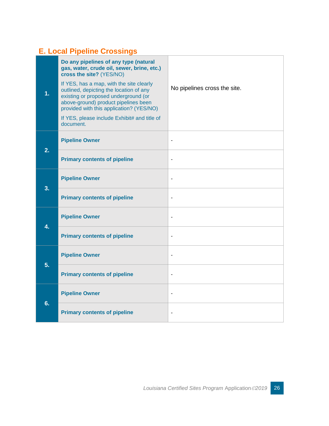### <span id="page-26-0"></span>**E. Local Pipeline Crossings**

| 1. | Do any pipelines of any type (natural<br>gas, water, crude oil, sewer, brine, etc.)<br>cross the site? (YES/NO)<br>If YES, has a map, with the site clearly<br>outlined, depicting the location of any<br>existing or proposed underground (or<br>above-ground) product pipelines been<br>provided with this application? (YES/NO)<br>If YES, please include Exhibit# and title of<br>document. | No pipelines cross the site. |
|----|-------------------------------------------------------------------------------------------------------------------------------------------------------------------------------------------------------------------------------------------------------------------------------------------------------------------------------------------------------------------------------------------------|------------------------------|
| 2. | <b>Pipeline Owner</b>                                                                                                                                                                                                                                                                                                                                                                           |                              |
|    | <b>Primary contents of pipeline</b>                                                                                                                                                                                                                                                                                                                                                             | $\blacksquare$               |
| 3. | <b>Pipeline Owner</b>                                                                                                                                                                                                                                                                                                                                                                           | $\blacksquare$               |
|    | <b>Primary contents of pipeline</b>                                                                                                                                                                                                                                                                                                                                                             | $\overline{\phantom{a}}$     |
| 4. | <b>Pipeline Owner</b>                                                                                                                                                                                                                                                                                                                                                                           | $\blacksquare$               |
|    | <b>Primary contents of pipeline</b>                                                                                                                                                                                                                                                                                                                                                             | ÷                            |
| 5. | <b>Pipeline Owner</b>                                                                                                                                                                                                                                                                                                                                                                           | $\overline{\phantom{a}}$     |
|    | <b>Primary contents of pipeline</b>                                                                                                                                                                                                                                                                                                                                                             | $\overline{\phantom{a}}$     |
| 6. | <b>Pipeline Owner</b>                                                                                                                                                                                                                                                                                                                                                                           |                              |
|    | <b>Primary contents of pipeline</b>                                                                                                                                                                                                                                                                                                                                                             | ٠                            |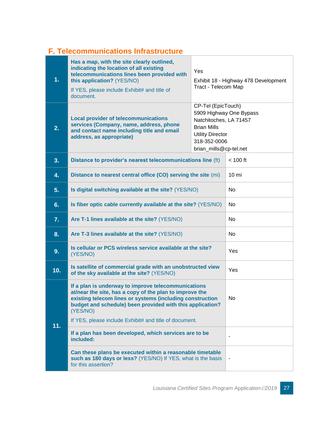### <span id="page-27-0"></span>**F. Telecommunications Infrastructure**

| 1.  | Has a map, with the site clearly outlined,<br>indicating the location of all existing<br>telecommunications lines been provided with<br>this application? (YES/NO)<br>If YES, please include Exhibit# and title of<br>document.                                                                                | Yes<br>Tract - Telecom Map                                                                                                              | Exhibit 18 - Highway 478 Development |
|-----|----------------------------------------------------------------------------------------------------------------------------------------------------------------------------------------------------------------------------------------------------------------------------------------------------------------|-----------------------------------------------------------------------------------------------------------------------------------------|--------------------------------------|
| 2.  | <b>Local provider of telecommunications</b><br>services (Company, name, address, phone<br>and contact name including title and email<br>address, as appropriate)                                                                                                                                               | CP-Tel (EpicTouch)<br>Natchitoches, LA 71457<br><b>Brian Mills</b><br><b>Utility Director</b><br>318-352-0006<br>brian_mills@cp-tel.net | 5909 Highway One Bypass              |
| 3.  | Distance to provider's nearest telecommunications line (ft)                                                                                                                                                                                                                                                    |                                                                                                                                         | $< 100$ ft                           |
| 4.  | Distance to nearest central office (CO) serving the site (mi)                                                                                                                                                                                                                                                  |                                                                                                                                         | 10 <sub>m</sub>                      |
| 5.  | Is digital switching available at the site? (YES/NO)                                                                                                                                                                                                                                                           |                                                                                                                                         | No                                   |
| 6.  | Is fiber optic cable currently available at the site? (YES/NO)                                                                                                                                                                                                                                                 |                                                                                                                                         | No                                   |
| 7.  | Are T-1 lines available at the site? (YES/NO)                                                                                                                                                                                                                                                                  |                                                                                                                                         | No                                   |
| 8.  | Are T-3 lines available at the site? (YES/NO)                                                                                                                                                                                                                                                                  |                                                                                                                                         | No                                   |
| 9.  | Is cellular or PCS wireless service available at the site?<br>(YES/NO)                                                                                                                                                                                                                                         |                                                                                                                                         | Yes                                  |
| 10. | Is satellite of commercial grade with an unobstructed view<br>of the sky available at the site? (YES/NO)                                                                                                                                                                                                       |                                                                                                                                         | Yes                                  |
| 11. | If a plan is underway to improve telecommunications<br>at/near the site, has a copy of the plan to improve the<br>existing telecom lines or systems (including construction<br>budget and schedule) been provided with this application?<br>(YES/NO)<br>If YES, please include Exhibit# and title of document. |                                                                                                                                         | No                                   |
|     | If a plan has been developed, which services are to be<br>included:                                                                                                                                                                                                                                            |                                                                                                                                         |                                      |
|     | Can these plans be executed within a reasonable timetable<br>such as 180 days or less? (YES/NO) If YES, what is the basis<br>for this assertion?                                                                                                                                                               |                                                                                                                                         |                                      |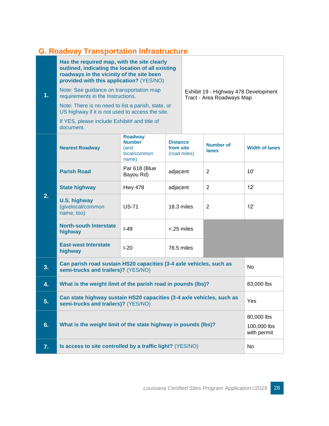## <span id="page-28-0"></span>**G. Roadway Transportation Infrastructure**

| 1. | Has the required map, with the site clearly<br>outlined, indicating the location of all existing<br>roadways in the vicinity of the site been<br>provided with this application? (YES/NO)<br>Note: See guidance on transportation map<br>requirements in the Instructions.<br>Note: There is no need to list a parish, state, or<br>US highway if it is not used to access the site.<br>If YES, please include Exhibit# and title of<br>document. |                                                                  |                                              |  | Exhibit 19 - Highway 478 Development<br>Tract - Area Roadways Map |                                          |
|----|---------------------------------------------------------------------------------------------------------------------------------------------------------------------------------------------------------------------------------------------------------------------------------------------------------------------------------------------------------------------------------------------------------------------------------------------------|------------------------------------------------------------------|----------------------------------------------|--|-------------------------------------------------------------------|------------------------------------------|
|    | <b>Nearest Roadway</b>                                                                                                                                                                                                                                                                                                                                                                                                                            | <b>Roadway</b><br><b>Number</b><br>(and<br>local/common<br>name) | <b>Distance</b><br>from site<br>(road miles) |  | <b>Number of</b><br>lanes                                         | <b>Width of lanes</b>                    |
|    | <b>Parish Road</b>                                                                                                                                                                                                                                                                                                                                                                                                                                | Par 618 (Blue<br>Bayou Rd)                                       | adjacent                                     |  | 2                                                                 | 10'                                      |
|    | <b>State highway</b>                                                                                                                                                                                                                                                                                                                                                                                                                              | <b>Hwy 478</b>                                                   | adjacent                                     |  | $\overline{2}$                                                    | 12'                                      |
| 2. | <b>U.S. highway</b><br>(givelocal/common<br>name, too)                                                                                                                                                                                                                                                                                                                                                                                            | <b>US-71</b>                                                     | 18.3 miles                                   |  | 2                                                                 | 12'                                      |
|    | <b>North-south Interstate</b><br>highway                                                                                                                                                                                                                                                                                                                                                                                                          | $I-49$                                                           | <.25 miles                                   |  |                                                                   |                                          |
|    | <b>East-west Interstate</b><br>highway                                                                                                                                                                                                                                                                                                                                                                                                            | $I-20$                                                           | 76.5 miles                                   |  |                                                                   |                                          |
| 3. | Can parish road sustain HS20 capacities (3-4 axle vehicles, such as<br>semi-trucks and trailers)? (YES/NO)                                                                                                                                                                                                                                                                                                                                        |                                                                  |                                              |  |                                                                   | <b>No</b>                                |
| 4. | What is the weight limit of the parish road in pounds (lbs)?                                                                                                                                                                                                                                                                                                                                                                                      |                                                                  |                                              |  | 83,000 lbs                                                        |                                          |
| 5. | Can state highway sustain HS20 capacities (3-4 axle vehicles, such as<br>semi-trucks and trailers)? (YES/NO)                                                                                                                                                                                                                                                                                                                                      |                                                                  |                                              |  | Yes                                                               |                                          |
| 6. | What is the weight limit of the state highway in pounds (lbs)?                                                                                                                                                                                                                                                                                                                                                                                    |                                                                  |                                              |  |                                                                   | 80,000 lbs<br>100,000 lbs<br>with permit |
| 7. | Is access to site controlled by a traffic light? (YES/NO)                                                                                                                                                                                                                                                                                                                                                                                         |                                                                  |                                              |  |                                                                   | No                                       |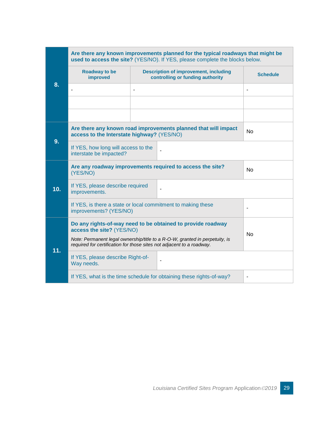|     | Are there any known improvements planned for the typical roadways that might be<br>used to access the site? (YES/NO). If YES, please complete the blocks below. |                                                                                  |                                                                      |                 |  |
|-----|-----------------------------------------------------------------------------------------------------------------------------------------------------------------|----------------------------------------------------------------------------------|----------------------------------------------------------------------|-----------------|--|
|     | <b>Roadway to be</b><br>improved                                                                                                                                | <b>Description of improvement, including</b><br>controlling or funding authority |                                                                      | <b>Schedule</b> |  |
| 8.  |                                                                                                                                                                 | ٠                                                                                |                                                                      | ٠               |  |
|     |                                                                                                                                                                 |                                                                                  |                                                                      |                 |  |
|     | Are there any known road improvements planned that will impact<br>access to the Interstate highway? (YES/NO)                                                    |                                                                                  |                                                                      | <b>No</b>       |  |
| 9.  | If YES, how long will access to the<br>interstate be impacted?                                                                                                  |                                                                                  |                                                                      |                 |  |
|     | Are any roadway improvements required to access the site?<br>(YES/NO)                                                                                           |                                                                                  | <b>No</b>                                                            |                 |  |
| 10. | If YES, please describe required<br>improvements.                                                                                                               |                                                                                  |                                                                      |                 |  |
|     | If YES, is there a state or local commitment to making these<br>improvements? (YES/NO)                                                                          |                                                                                  |                                                                      |                 |  |
|     | Do any rights-of-way need to be obtained to provide roadway<br>access the site? (YES/NO)<br><b>No</b>                                                           |                                                                                  |                                                                      |                 |  |
| 11. | Note: Permanent legal ownership/title to a R-O-W, granted in perpetuity, is<br>required for certification for those sites not adjacent to a roadway.            |                                                                                  |                                                                      |                 |  |
|     | If YES, please describe Right-of-<br>Way needs.                                                                                                                 |                                                                                  | $\overline{\phantom{a}}$                                             |                 |  |
|     |                                                                                                                                                                 |                                                                                  | If YES, what is the time schedule for obtaining these rights-of-way? | ÷               |  |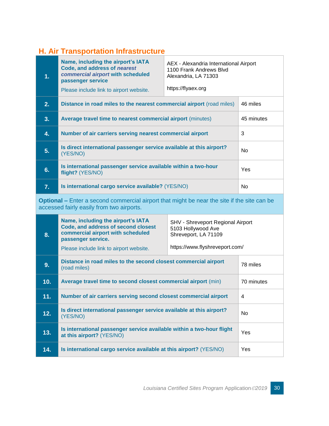#### <span id="page-30-0"></span>**H. Air Transportation Infrastructure**

| 1. | Name, including the airport's IATA<br>Code, and address of nearest<br>commercial airport with scheduled<br>passenger service<br>Please include link to airport website. | AEX - Alexandria International Airport<br>1100 Frank Andrews Blvd<br>Alexandria, LA 71303<br>https://flyaex.org |            |
|----|-------------------------------------------------------------------------------------------------------------------------------------------------------------------------|-----------------------------------------------------------------------------------------------------------------|------------|
| 2. | Distance in road miles to the nearest commercial airport (road miles)                                                                                                   |                                                                                                                 | 46 miles   |
| 3. | <b>Average travel time to nearest commercial airport (minutes)</b>                                                                                                      |                                                                                                                 | 45 minutes |
| 4. | Number of air carriers serving nearest commercial airport                                                                                                               |                                                                                                                 | 3          |
| 5. | Is direct international passenger service available at this airport?<br>(YES/NO)                                                                                        |                                                                                                                 | No.        |
| 6. | Is international passenger service available within a two-hour<br>flight? (YES/NO)                                                                                      |                                                                                                                 | <b>Yes</b> |
| 7. | Is international cargo service available? (YES/NO)                                                                                                                      |                                                                                                                 | No.        |

**Optional –** Enter a second commercial airport that might be near the site if the site can be accessed fairly easily from two airports.

| 8.  | Name, including the airport's IATA<br>Code, and address of second closest<br>commercial airport with scheduled<br>passenger service.<br>Please include link to airport website. | SHV - Shreveport Regional Airport<br>5103 Hollywood Ave<br>Shreveport, LA 71109<br>https://www.flyshreveport.com/ |                |
|-----|---------------------------------------------------------------------------------------------------------------------------------------------------------------------------------|-------------------------------------------------------------------------------------------------------------------|----------------|
| 9.  | Distance in road miles to the second closest commercial airport<br>(road miles)                                                                                                 |                                                                                                                   | 78 miles       |
| 10. | Average travel time to second closest commercial airport (min)                                                                                                                  |                                                                                                                   | 70 minutes     |
| 11. | Number of air carriers serving second closest commercial airport                                                                                                                |                                                                                                                   | 4              |
| 12. | Is direct international passenger service available at this airport?<br>(YES/NO)                                                                                                |                                                                                                                   | N <sub>o</sub> |
| 13. | Is international passenger service available within a two-hour flight<br>at this airport? (YES/NO)                                                                              |                                                                                                                   | Yes            |
| 14. | Is international cargo service available at this airport? (YES/NO)                                                                                                              |                                                                                                                   | Yes            |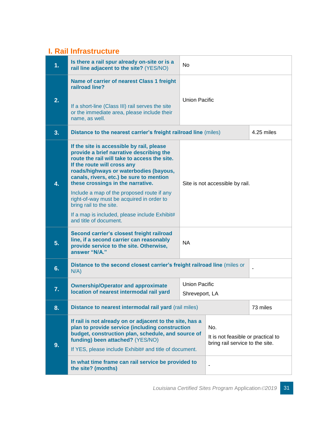#### **I. Rail Infrastructure**

| 1. | Is there a rail spur already on-site or is a<br>rail line adjacent to the site? (YES/NO)                                                                                                                                                                                                        | No                                     |                                                                              |            |
|----|-------------------------------------------------------------------------------------------------------------------------------------------------------------------------------------------------------------------------------------------------------------------------------------------------|----------------------------------------|------------------------------------------------------------------------------|------------|
| 2. | Name of carrier of nearest Class 1 freight<br>railroad line?<br>If a short-line (Class III) rail serves the site<br>or the immediate area, please include their<br>name, as well.                                                                                                               | <b>Union Pacific</b>                   |                                                                              |            |
| 3. | Distance to the nearest carrier's freight railroad line (miles)                                                                                                                                                                                                                                 |                                        |                                                                              | 4.25 miles |
| 4. | If the site is accessible by rail, please<br>provide a brief narrative describing the<br>route the rail will take to access the site.<br>If the route will cross any<br>roads/highways or waterbodies (bayous,<br>canals, rivers, etc.) be sure to mention<br>these crossings in the narrative. | Site is not accessible by rail.        |                                                                              |            |
|    | Include a map of the proposed route if any<br>right-of-way must be acquired in order to<br>bring rail to the site.                                                                                                                                                                              |                                        |                                                                              |            |
|    | If a map is included, please include Exhibit#<br>and title of document.                                                                                                                                                                                                                         |                                        |                                                                              |            |
| 5. | Second carrier's closest freight railroad<br>line, if a second carrier can reasonably<br>provide service to the site. Otherwise,<br>answer "N/A."                                                                                                                                               | <b>NA</b>                              |                                                                              |            |
| 6. | Distance to the second closest carrier's freight railroad line (miles or<br>N/A)                                                                                                                                                                                                                |                                        |                                                                              |            |
| 7. | <b>Ownership/Operator and approximate</b><br>location of nearest intermodal rail yard                                                                                                                                                                                                           | <b>Union Pacific</b><br>Shreveport, LA |                                                                              |            |
| 8. | Distance to nearest intermodal rail yard (rail miles)                                                                                                                                                                                                                                           |                                        |                                                                              | 73 miles   |
| 9. | If rail is not already on or adjacent to the site, has a<br>plan to provide service (including construction<br>budget, construction plan, schedule, and source of<br>funding) been attached? (YES/NO)<br>If YES, please include Exhibit# and title of document.                                 |                                        | No.<br>It is not feasible or practical to<br>bring rail service to the site. |            |
|    | In what time frame can rail service be provided to<br>the site? (months)                                                                                                                                                                                                                        |                                        |                                                                              |            |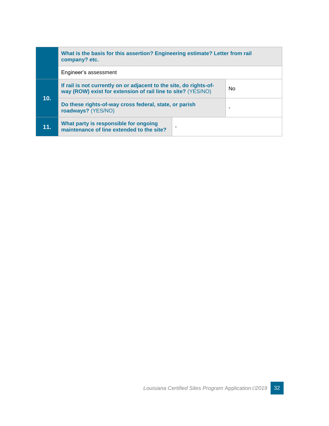|     | What is the basis for this assertion? Engineering estimate? Letter from rail<br>company? etc.                                      |  |                          |
|-----|------------------------------------------------------------------------------------------------------------------------------------|--|--------------------------|
|     | Engineer's assessment                                                                                                              |  |                          |
|     | If rail is not currently on or adjacent to the site, do rights-of-<br>way (ROW) exist for extension of rail line to site? (YES/NO) |  | <b>No</b>                |
| 10. | Do these rights-of-way cross federal, state, or parish<br>roadways? (YES/NO)                                                       |  | $\overline{\phantom{a}}$ |
| 11. | What party is responsible for ongoing<br>maintenance of line extended to the site?                                                 |  |                          |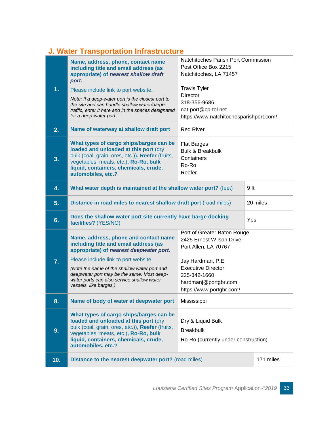### **J. Water Transportation Infrastructure**

|     | Name, address, phone, contact name<br>including title and email address (as<br>appropriate) of nearest shallow draft                                                                                                                         | Natchitoches Parish Port Commission<br>Post Office Box 2215<br>Natchitoches, LA 71457                              |           |
|-----|----------------------------------------------------------------------------------------------------------------------------------------------------------------------------------------------------------------------------------------------|--------------------------------------------------------------------------------------------------------------------|-----------|
| 1.  | port.<br>Please include link to port website.<br>Note: If a deep-water port is the closest port to<br>the site and can handle shallow water/barge<br>traffic, enter it here and in the spaces designated<br>for a deep-water port.           | <b>Travis Tyler</b><br>Director<br>318-356-9686<br>nat-port@cp-tel.net<br>https://www.natchitochesparishport.com/  |           |
| 2.  | Name of waterway at shallow draft port                                                                                                                                                                                                       | <b>Red River</b>                                                                                                   |           |
| 3.  | What types of cargo ships/barges can be<br>loaded and unloaded at this port (dry<br>bulk (coal, grain, ores, etc.)), Reefer (fruits,<br>vegetables, meats, etc.), Ro-Ro, bulk<br>liquid, containers, chemicals, crude,<br>automobiles, etc.? | <b>Flat Barges</b><br><b>Bulk &amp; Breakbulk</b><br>Containers<br>Ro-Ro<br>Reefer                                 |           |
| 4.  | What water depth is maintained at the shallow water port? (feet)                                                                                                                                                                             |                                                                                                                    | 9 ft      |
| 5.  | Distance in road miles to nearest shallow draft port (road miles)                                                                                                                                                                            |                                                                                                                    | 20 miles  |
| 6.  | Does the shallow water port site currently have barge docking<br>facilities? (YES/NO)                                                                                                                                                        |                                                                                                                    | Yes       |
|     | Name, address, phone and contact name<br>including title and email address (as<br>appropriate) of nearest deepwater port.                                                                                                                    | Port of Greater Baton Rouge<br>2425 Ernest Wilson Drive<br>Port Allen, LA 70767                                    |           |
| 7.  | Please include link to port website.<br>(Note the name of the shallow water port and<br>deepwater port may be the same. Most deep-<br>water ports can also service shallow water<br>vessels, like barges.)                                   | Jay Hardman, P.E.<br><b>Executive Director</b><br>225-342-1660<br>hardmanj@portgbr.com<br>https://www.portgbr.com/ |           |
| 8.  | Name of body of water at deepwater port                                                                                                                                                                                                      | Mississippi                                                                                                        |           |
| 9.  | What types of cargo ships/barges can be<br>loaded and unloaded at this port (dry<br>bulk (coal, grain, ores, etc.)), Reefer (fruits,<br>vegetables, meats, etc.), Ro-Ro, bulk<br>liquid, containers, chemicals, crude,<br>automobiles, etc.? | Dry & Liquid Bulk<br><b>Breakbulk</b><br>Ro-Ro (currently under construction)                                      |           |
| 10. | Distance to the nearest deepwater port? (road miles)                                                                                                                                                                                         |                                                                                                                    | 171 miles |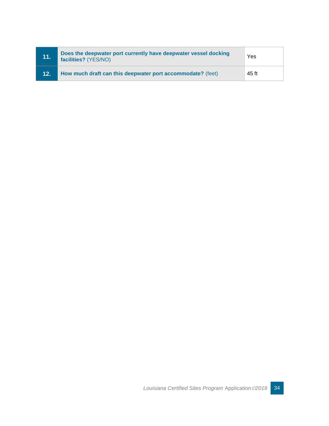| <b>M1.</b> | Does the deepwater port currently have deepwater vessel docking<br>facilities? (YES/NO) | Yes   |
|------------|-----------------------------------------------------------------------------------------|-------|
| 12.        | How much draft can this deepwater port accommodate? (feet)                              | 45 ft |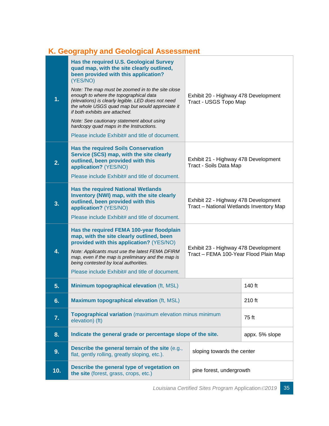#### **K. Geography and Geological Assessment**

| 1.  | Has the required U.S. Geological Survey<br>quad map, with the site clearly outlined,<br>been provided with this application?<br>(YES/NO)<br>Note: The map must be zoomed in to the site close<br>enough to where the topographical data<br>(elevations) is clearly legible. LED does not need<br>the whole USGS quad map but would appreciate it<br>if both exhibits are attached.<br>Note: See cautionary statement about using<br>hardcopy quad maps in the Instructions.<br>Please include Exhibit# and title of document. | Exhibit 20 - Highway 478 Development<br>Tract - USGS Topo Map                   |                |
|-----|-------------------------------------------------------------------------------------------------------------------------------------------------------------------------------------------------------------------------------------------------------------------------------------------------------------------------------------------------------------------------------------------------------------------------------------------------------------------------------------------------------------------------------|---------------------------------------------------------------------------------|----------------|
| 2.  | <b>Has the required Soils Conservation</b><br>Service (SCS) map, with the site clearly<br>outlined, been provided with this<br>application? (YES/NO)<br>Please include Exhibit# and title of document.                                                                                                                                                                                                                                                                                                                        | Exhibit 21 - Highway 478 Development<br>Tract - Soils Data Map                  |                |
| 3.  | <b>Has the required National Wetlands</b><br>Inventory (NWI) map, with the site clearly<br>outlined, been provided with this<br>application? (YES/NO)<br>Please include Exhibit# and title of document.                                                                                                                                                                                                                                                                                                                       | Exhibit 22 - Highway 478 Development<br>Tract - National Wetlands Inventory Map |                |
| 4.  | Has the required FEMA 100-year floodplain<br>map, with the site clearly outlined, been<br>provided with this application? (YES/NO)<br>Note: Applicants must use the latest FEMA DFIRM<br>map, even if the map is preliminary and the map is<br>being contested by local authorities.<br>Please include Exhibit# and title of document.                                                                                                                                                                                        | Exhibit 23 - Highway 478 Development<br>Tract - FEMA 100-Year Flood Plain Map   |                |
| 5.  | Minimum topographical elevation (ft, MSL)                                                                                                                                                                                                                                                                                                                                                                                                                                                                                     |                                                                                 | 140 ft         |
| 6.  | <b>Maximum topographical elevation (ft, MSL)</b>                                                                                                                                                                                                                                                                                                                                                                                                                                                                              |                                                                                 | 210 ft         |
| 7.  | Topographical variation (maximum elevation minus minimum<br>elevation) (ft)                                                                                                                                                                                                                                                                                                                                                                                                                                                   |                                                                                 | 75 ft          |
| 8.  | Indicate the general grade or percentage slope of the site.                                                                                                                                                                                                                                                                                                                                                                                                                                                                   |                                                                                 | appx. 5% slope |
| 9.  | Describe the general terrain of the site (e.g.,<br>flat, gently rolling, greatly sloping, etc.).                                                                                                                                                                                                                                                                                                                                                                                                                              | sloping towards the center                                                      |                |
| 10. | Describe the general type of vegetation on<br>the site (forest, grass, crops, etc.)                                                                                                                                                                                                                                                                                                                                                                                                                                           | pine forest, undergrowth                                                        |                |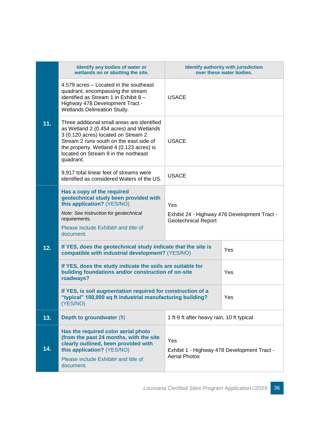| 11. | Identify any bodies of water or<br>wetlands on or abutting the site.                                                                                                                                                                                                       | <b>Identify authority with jurisdiction</b><br>over these water bodies.           |     |
|-----|----------------------------------------------------------------------------------------------------------------------------------------------------------------------------------------------------------------------------------------------------------------------------|-----------------------------------------------------------------------------------|-----|
|     | 4.579 acres - Located in the southeast<br>quadrant, encompassing the stream<br>identified as Stream 1 in Exhibit 8 -<br>Highway 478 Development Tract -<br>Wetlands Delineation Study.                                                                                     | <b>USACE</b>                                                                      |     |
|     | Three additional small areas are identified<br>as Wetland 2 (0.454 acres) and Wetlands<br>3 (0.120 acres) located on Stream 2.<br>Stream 2 runs south on the east side of<br>the property. Wetland 4 (0.123 acres) is<br>located on Stream 9 in the northeast<br>quadrant. | <b>USACE</b>                                                                      |     |
|     | 9,917 total linear feet of streams were<br>identified as considered Waters of the US.                                                                                                                                                                                      | <b>USACE</b>                                                                      |     |
|     | Has a copy of the required<br>geotechnical study been provided with<br>this application? (YES/NO)<br>Note: See Instruction for geotechnical<br>requirements.<br>Please include Exhibit# and title of<br>document.                                                          | Yes<br>Exhibit 24 - Highway 478 Development Tract -<br><b>Geotechnical Report</b> |     |
| 12. | If YES, does the geotechnical study indicate that the site is<br>compatible with industrial development? (YES/NO)                                                                                                                                                          |                                                                                   | Yes |
|     | If YES, does the study indicate the soils are suitable for<br>building foundations and/or construction of on-site<br>roadways?                                                                                                                                             |                                                                                   | Yes |
|     | If YES, is soil augmentation required for construction of a<br>"typical" 100,000 sq ft industrial manufacturing building?<br>(YES/NO)                                                                                                                                      |                                                                                   | Yes |
| 13. | Depth to groundwater (ft)                                                                                                                                                                                                                                                  | 1 ft-9 ft after heavy rain, 10 ft typical                                         |     |
| 14. | Has the required color aerial photo<br>(from the past 24 months, with the site<br>clearly outlined, been provided with<br>this application? (YES/NO)<br>Please include Exhibit# and title of<br>document.                                                                  | Yes<br>Exhibit 1 - Highway 478 Development Tract -<br><b>Aerial Photos</b>        |     |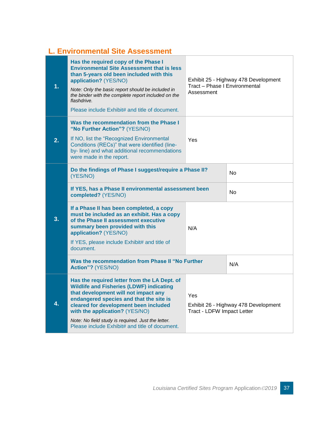### **L. Environmental Site Assessment**

| $\overline{1}$ . | Has the required copy of the Phase I<br><b>Environmental Site Assessment that is less</b><br>than 5-years old been included with this<br>application? (YES/NO)<br>Note: Only the basic report should be included in<br>the binder with the complete report included on the<br>flashdrive.<br>Please include Exhibit# and title of document.                           | Exhibit 25 - Highway 478 Development<br>Tract - Phase I Environmental<br>Assessment |           |
|------------------|-----------------------------------------------------------------------------------------------------------------------------------------------------------------------------------------------------------------------------------------------------------------------------------------------------------------------------------------------------------------------|-------------------------------------------------------------------------------------|-----------|
| 2.               | Was the recommendation from the Phase I<br>"No Further Action"? (YES/NO)<br>If NO, list the "Recognized Environmental<br>Conditions (RECs)" that were identified (line-<br>by- line) and what additional recommendations<br>were made in the report.                                                                                                                  | Yes                                                                                 |           |
|                  | Do the findings of Phase I suggest/require a Phase II?<br>(YES/NO)                                                                                                                                                                                                                                                                                                    |                                                                                     | <b>No</b> |
| 3.               | If YES, has a Phase II environmental assessment been<br>completed? (YES/NO)                                                                                                                                                                                                                                                                                           |                                                                                     | No        |
|                  | If a Phase II has been completed, a copy<br>must be included as an exhibit. Has a copy<br>of the Phase II assessment executive<br>summary been provided with this<br>application? (YES/NO)<br>If YES, please include Exhibit# and title of<br>document.                                                                                                               | N/A                                                                                 |           |
|                  | Was the recommendation from Phase II "No Further<br>Action"? (YES/NO)                                                                                                                                                                                                                                                                                                 |                                                                                     | N/A       |
| 4.               | Has the required letter from the LA Dept. of<br><b>Wildlife and Fisheries (LDWF) indicating</b><br>that development will not impact any<br>endangered species and that the site is<br>cleared for development been included<br>with the application? (YES/NO)<br>Note: No field study is required. Just the letter.<br>Please include Exhibit# and title of document. | Yes<br>Exhibit 26 - Highway 478 Development<br><b>Tract - LDFW Impact Letter</b>    |           |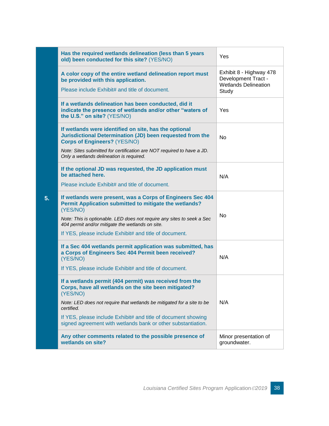|    | Has the required wetlands delineation (less than 5 years<br>old) been conducted for this site? (YES/NO)                                                   | Yes                                                                           |
|----|-----------------------------------------------------------------------------------------------------------------------------------------------------------|-------------------------------------------------------------------------------|
|    | A color copy of the entire wetland delineation report must<br>be provided with this application.                                                          | Exhibit 8 - Highway 478<br>Development Tract -<br><b>Wetlands Delineation</b> |
|    | Please include Exhibit# and title of document.                                                                                                            | Study                                                                         |
|    | If a wetlands delineation has been conducted, did it<br>indicate the presence of wetlands and/or other "waters of<br>the U.S." on site? (YES/NO)          | Yes                                                                           |
|    | If wetlands were identified on site, has the optional<br>Jurisdictional Determination (JD) been requested from the<br><b>Corps of Engineers? (YES/NO)</b> | <b>No</b>                                                                     |
|    | Note: Sites submitted for certification are NOT required to have a JD.<br>Only a wetlands delineation is required.                                        |                                                                               |
|    | If the optional JD was requested, the JD application must<br>be attached here.                                                                            | N/A                                                                           |
|    | Please include Exhibit# and title of document.                                                                                                            |                                                                               |
| 5. | If wetlands were present, was a Corps of Engineers Sec 404<br>Permit Application submitted to mitigate the wetlands?<br>(YES/NO)                          |                                                                               |
|    | Note: This is optionable. LED does not require any sites to seek a Sec<br>404 permit and/or mitigate the wetlands on site.                                | <b>No</b>                                                                     |
|    | If YES, please include Exhibit# and title of document.                                                                                                    |                                                                               |
|    | If a Sec 404 wetlands permit application was submitted, has<br>a Corps of Engineers Sec 404 Permit been received?<br>(YES/NO)                             | N/A                                                                           |
|    | If YES, please include Exhibit# and title of document.                                                                                                    |                                                                               |
|    | If a wetlands permit (404 permit) was received from the<br>Corps, have all wetlands on the site been mitigated?<br>(YES/NO)                               |                                                                               |
|    | Note: LED does not require that wetlands be mitigated for a site to be<br>certified.                                                                      | N/A                                                                           |
|    | If YES, please include Exhibit# and title of document showing<br>signed agreement with wetlands bank or other substantiation.                             |                                                                               |
|    | Any other comments related to the possible presence of<br>wetlands on site?                                                                               | Minor presentation of<br>groundwater.                                         |